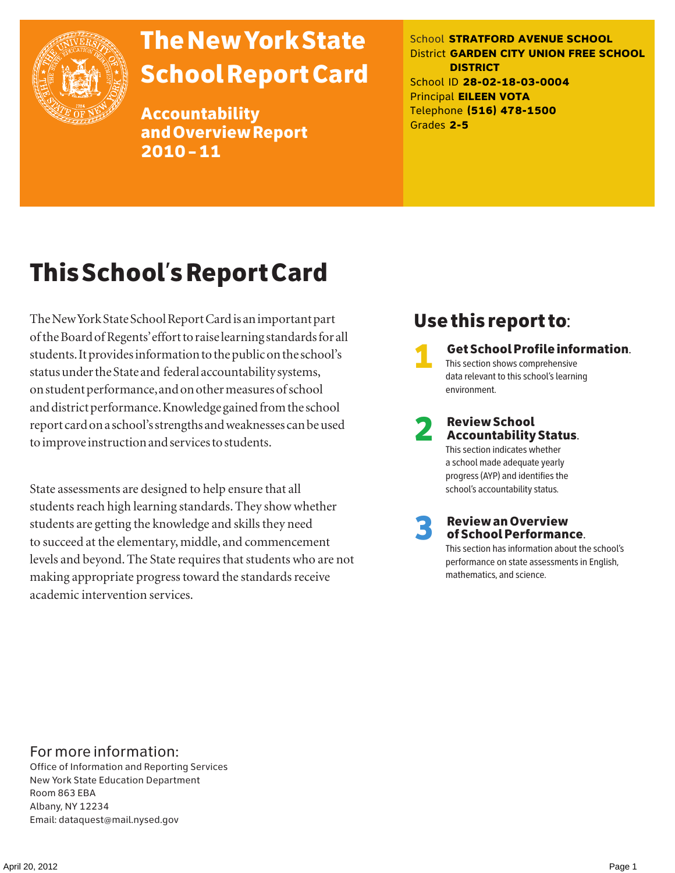

# The New York State School Report Card

Accountability and Overview Report 2010–11

School **STRATFORD AVENUE SCHOOL** District **GARDEN CITY UNION FREE SCHOOL DISTRICT** School ID **28-02-18-03-0004** Principal **EILEEN VOTA** Telephone **(516) 478-1500** Grades **2-5**

# This School's Report Card

The New York State School Report Card is an important part of the Board of Regents' effort to raise learning standards for all students. It provides information to the public on the school's status under the State and federal accountability systems, on student performance, and on other measures of school and district performance. Knowledge gained from the school report card on a school's strengths and weaknesses can be used to improve instruction and services to students.

State assessments are designed to help ensure that all students reach high learning standards. They show whether students are getting the knowledge and skills they need to succeed at the elementary, middle, and commencement levels and beyond. The State requires that students who are not making appropriate progress toward the standards receive academic intervention services.

### Use this report to:

1 Get School Profile information. This section shows comprehensive data relevant to this school's learning environment.

# 2 Review School Accountability Status.

This section indicates whether a school made adequate yearly progress (AYP) and identifies the school's accountability status.

3 Review an Overview of School Performance.

This section has information about the school's performance on state assessments in English, mathematics, and science.

### For more information:

Office of Information and Reporting Services New York State Education Department Room 863 EBA Albany, NY 12234 Email: dataquest@mail.nysed.gov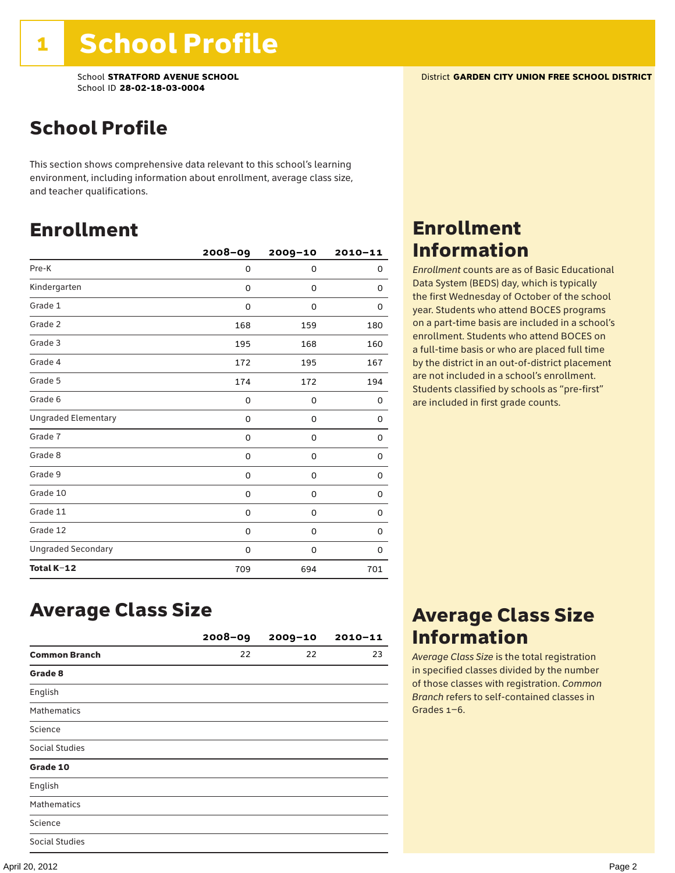School **STRATFORD AVENUE SCHOOL** District **GARDEN CITY UNION FREE SCHOOL DISTRICT** School ID **28-02-18-03-0004**

## School Profile

This section shows comprehensive data relevant to this school's learning environment, including information about enrollment, average class size, and teacher qualifications.

### Enrollment

|                            | $2008 - 09$ | 2009-10 | $2010 - 11$ |
|----------------------------|-------------|---------|-------------|
| Pre-K                      | 0           | 0       | 0           |
| Kindergarten               | 0           | 0       | 0           |
| Grade 1                    | 0           | 0       | 0           |
| Grade 2                    | 168         | 159     | 180         |
| Grade 3                    | 195         | 168     | 160         |
| Grade 4                    | 172         | 195     | 167         |
| Grade 5                    | 174         | 172     | 194         |
| Grade 6                    | 0           | 0       | 0           |
| <b>Ungraded Elementary</b> | 0           | 0       | 0           |
| Grade 7                    | 0           | 0       | 0           |
| Grade 8                    | 0           | 0       | 0           |
| Grade 9                    | 0           | 0       | 0           |
| Grade 10                   | 0           | 0       | 0           |
| Grade 11                   | 0           | 0       | 0           |
| Grade 12                   | 0           | 0       | 0           |
| <b>Ungraded Secondary</b>  | 0           | 0       | 0           |
| Total K-12                 | 709         | 694     | 701         |

### Enrollment Information

*Enrollment* counts are as of Basic Educational Data System (BEDS) day, which is typically the first Wednesday of October of the school year. Students who attend BOCES programs on a part-time basis are included in a school's enrollment. Students who attend BOCES on a full-time basis or who are placed full time by the district in an out-of-district placement are not included in a school's enrollment. Students classified by schools as "pre-first" are included in first grade counts.

### Average Class Size

|                       | $2008 - 09$ | $2009 - 10$ | $2010 - 11$ |
|-----------------------|-------------|-------------|-------------|
| <b>Common Branch</b>  | 22          | 22          | 23          |
| Grade 8               |             |             |             |
| English               |             |             |             |
| <b>Mathematics</b>    |             |             |             |
| Science               |             |             |             |
| <b>Social Studies</b> |             |             |             |
| Grade 10              |             |             |             |
| English               |             |             |             |
| <b>Mathematics</b>    |             |             |             |
| Science               |             |             |             |
| <b>Social Studies</b> |             |             |             |

### Average Class Size Information

*Average Class Size* is the total registration in specified classes divided by the number of those classes with registration. *Common Branch* refers to self-contained classes in Grades 1–6.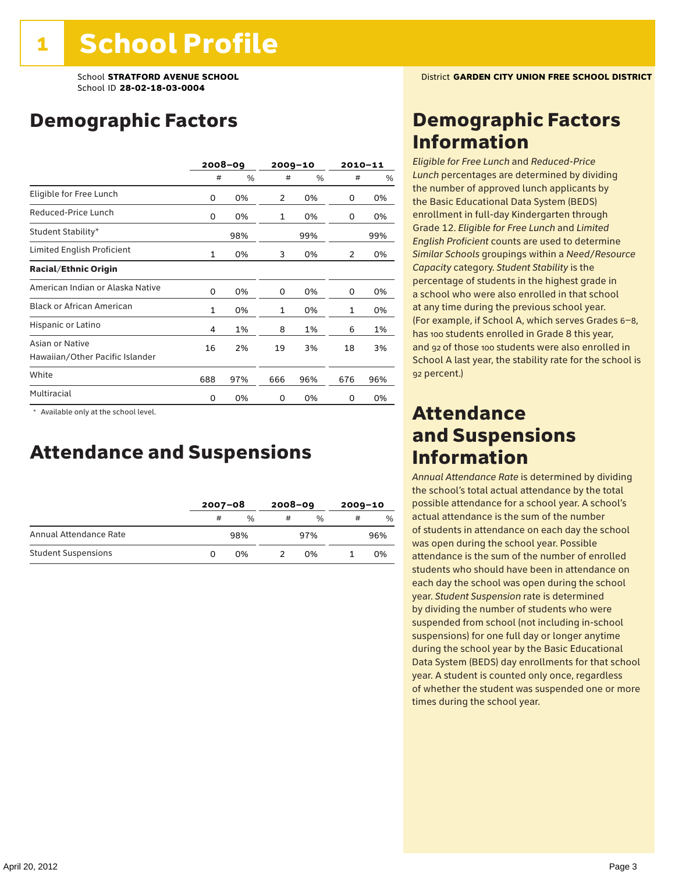## Demographic Factors

|                                                    |              | $2008 - 09$ |              | $2009 - 10$ |     | $2010 - 11$ |
|----------------------------------------------------|--------------|-------------|--------------|-------------|-----|-------------|
|                                                    | #            | %           | #            | %           | #   | %           |
| Eligible for Free Lunch                            | 0            | 0%          | 2            | 0%          | 0   | 0%          |
| Reduced-Price Lunch                                | 0            | 0%          | $\mathbf{1}$ | 0%          | 0   | 0%          |
| Student Stability*                                 |              | 98%         |              | 99%         |     | 99%         |
| Limited English Proficient                         | $\mathbf{1}$ | 0%          | 3            | 0%          | 2   | 0%          |
| <b>Racial/Ethnic Origin</b>                        |              |             |              |             |     |             |
| American Indian or Alaska Native                   | 0            | 0%          | 0            | 0%          | 0   | 0%          |
| <b>Black or African American</b>                   | $\mathbf{1}$ | 0%          | $\mathbf{1}$ | 0%          | 1   | 0%          |
| Hispanic or Latino                                 | 4            | 1%          | 8            | 1%          | 6   | 1%          |
| Asian or Native<br>Hawaiian/Other Pacific Islander | 16           | 2%          | 19           | 3%          | 18  | 3%          |
| White                                              | 688          | 97%         | 666          | 96%         | 676 | 96%         |
| Multiracial                                        | 0            | 0%          | 0            | 0%          | 0   | 0%          |

 \* Available only at the school level.

### Attendance and Suspensions

|                            |   | $2007 - 08$ |   | $2008 - 09$   |   | $2009 - 10$   |  |
|----------------------------|---|-------------|---|---------------|---|---------------|--|
|                            | # | $\%$        | # | $\frac{0}{6}$ | # | $\frac{0}{0}$ |  |
| Annual Attendance Rate     |   | 98%         |   | 97%           |   | 96%           |  |
| <b>Student Suspensions</b> |   | በ%          |   | በ%            |   | 0%            |  |

### Demographic Factors Information

*Eligible for Free Lunch* and *Reduced*-*Price Lunch* percentages are determined by dividing the number of approved lunch applicants by the Basic Educational Data System (BEDS) enrollment in full-day Kindergarten through Grade 12. *Eligible for Free Lunch* and *Limited English Proficient* counts are used to determine *Similar Schools* groupings within a *Need*/*Resource Capacity* category. *Student Stability* is the percentage of students in the highest grade in a school who were also enrolled in that school at any time during the previous school year. (For example, if School A, which serves Grades 6–8, has 100 students enrolled in Grade 8 this year, and 92 of those 100 students were also enrolled in School A last year, the stability rate for the school is 92 percent.)

### Attendance and Suspensions Information

*Annual Attendance Rate* is determined by dividing the school's total actual attendance by the total possible attendance for a school year. A school's actual attendance is the sum of the number of students in attendance on each day the school was open during the school year. Possible attendance is the sum of the number of enrolled students who should have been in attendance on each day the school was open during the school year. *Student Suspension* rate is determined by dividing the number of students who were suspended from school (not including in-school suspensions) for one full day or longer anytime during the school year by the Basic Educational Data System (BEDS) day enrollments for that school year. A student is counted only once, regardless of whether the student was suspended one or more times during the school year.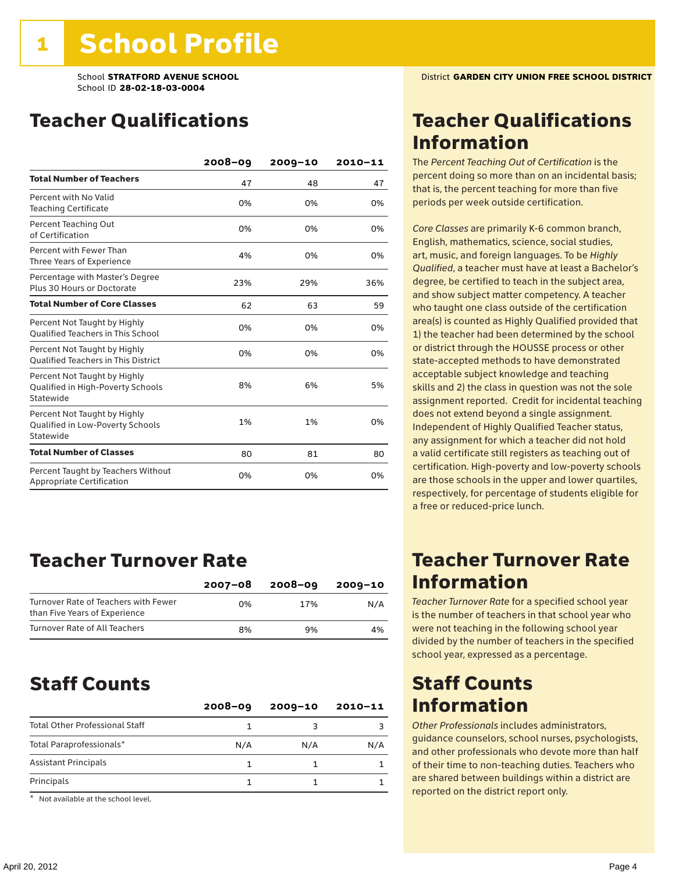### Teacher Qualifications

|                                                                                | $2008 - 09$ | $2009 - 10$ | 2010-11 |
|--------------------------------------------------------------------------------|-------------|-------------|---------|
| <b>Total Number of Teachers</b>                                                | 47          | 48          | 47      |
| Percent with No Valid<br><b>Teaching Certificate</b>                           | 0%          | 0%          | 0%      |
| Percent Teaching Out<br>of Certification                                       | 0%          | 0%          | 0%      |
| Percent with Fewer Than<br>Three Years of Experience                           | 4%          | 0%          | 0%      |
| Percentage with Master's Degree<br>Plus 30 Hours or Doctorate                  | 23%         | 29%         | 36%     |
| <b>Total Number of Core Classes</b>                                            | 62          | 63          | 59      |
| Percent Not Taught by Highly<br><b>Qualified Teachers in This School</b>       | 0%          | 0%          | 0%      |
| Percent Not Taught by Highly<br><b>Oualified Teachers in This District</b>     | 0%          | 0%          | 0%      |
| Percent Not Taught by Highly<br>Qualified in High-Poverty Schools<br>Statewide | 8%          | 6%          | 5%      |
| Percent Not Taught by Highly<br>Qualified in Low-Poverty Schools<br>Statewide  | 1%          | 1%          | 0%      |
| <b>Total Number of Classes</b>                                                 | 80          | 81          | 80      |
| Percent Taught by Teachers Without<br>Appropriate Certification                | 0%          | 0%          | 0%      |

### Teacher Turnover Rate

|                                                                       | $2007 - 08$ | 2008-09 | 2009-10 |
|-----------------------------------------------------------------------|-------------|---------|---------|
| Turnover Rate of Teachers with Fewer<br>than Five Years of Experience | በ%          | 17%     | N/A     |
| Turnover Rate of All Teachers                                         | 8%          | 9%      | 4%      |

### Staff Counts

| $2008 - 09$ | $2009 - 10$ | $2010 - 11$ |
|-------------|-------------|-------------|
|             |             |             |
| N/A         | N/A         | N/A         |
|             |             |             |
|             |             |             |
|             |             |             |

\* Not available at the school level.

### Teacher Qualifications Information

The *Percent Teaching Out of Certification* is the percent doing so more than on an incidental basis; that is, the percent teaching for more than five periods per week outside certification.

*Core Classes* are primarily K-6 common branch, English, mathematics, science, social studies, art, music, and foreign languages. To be *Highly Qualified*, a teacher must have at least a Bachelor's degree, be certified to teach in the subject area, and show subject matter competency. A teacher who taught one class outside of the certification area(s) is counted as Highly Qualified provided that 1) the teacher had been determined by the school or district through the HOUSSE process or other state-accepted methods to have demonstrated acceptable subject knowledge and teaching skills and 2) the class in question was not the sole assignment reported. Credit for incidental teaching does not extend beyond a single assignment. Independent of Highly Qualified Teacher status, any assignment for which a teacher did not hold a valid certificate still registers as teaching out of certification. High-poverty and low-poverty schools are those schools in the upper and lower quartiles, respectively, for percentage of students eligible for a free or reduced-price lunch.

### Teacher Turnover Rate Information

*Teacher Turnover Rate* for a specified school year is the number of teachers in that school year who were not teaching in the following school year divided by the number of teachers in the specified school year, expressed as a percentage.

### Staff Counts Information

*Other Professionals* includes administrators, guidance counselors, school nurses, psychologists, and other professionals who devote more than half of their time to non-teaching duties. Teachers who are shared between buildings within a district are reported on the district report only.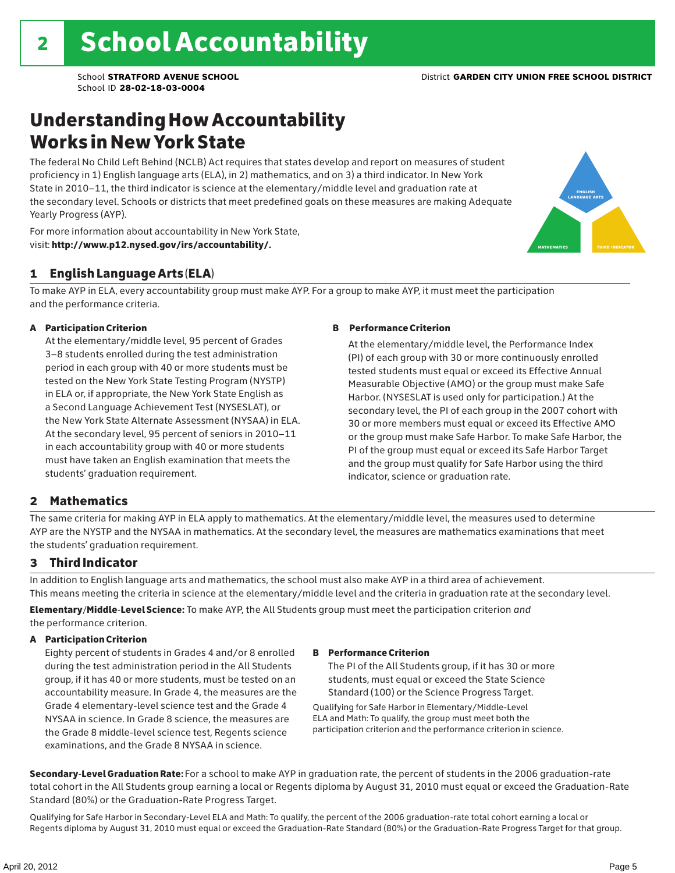## Understanding How Accountability Works in New York State

The federal No Child Left Behind (NCLB) Act requires that states develop and report on measures of student proficiency in 1) English language arts (ELA), in 2) mathematics, and on 3) a third indicator. In New York State in 2010–11, the third indicator is science at the elementary/middle level and graduation rate at the secondary level. Schools or districts that meet predefined goals on these measures are making Adequate Yearly Progress (AYP).



For more information about accountability in New York State, visit: http://www.p12.nysed.gov/irs/accountability/.

### 1 English Language Arts (ELA)

To make AYP in ELA, every accountability group must make AYP. For a group to make AYP, it must meet the participation and the performance criteria.

### A Participation Criterion

At the elementary/middle level, 95 percent of Grades 3–8 students enrolled during the test administration period in each group with 40 or more students must be tested on the New York State Testing Program (NYSTP) in ELA or, if appropriate, the New York State English as a Second Language Achievement Test (NYSESLAT), or the New York State Alternate Assessment (NYSAA) in ELA. At the secondary level, 95 percent of seniors in 2010–11 in each accountability group with 40 or more students must have taken an English examination that meets the students' graduation requirement.

#### B Performance Criterion

At the elementary/middle level, the Performance Index (PI) of each group with 30 or more continuously enrolled tested students must equal or exceed its Effective Annual Measurable Objective (AMO) or the group must make Safe Harbor. (NYSESLAT is used only for participation.) At the secondary level, the PI of each group in the 2007 cohort with 30 or more members must equal or exceed its Effective AMO or the group must make Safe Harbor. To make Safe Harbor, the PI of the group must equal or exceed its Safe Harbor Target and the group must qualify for Safe Harbor using the third indicator, science or graduation rate.

### 2 Mathematics

The same criteria for making AYP in ELA apply to mathematics. At the elementary/middle level, the measures used to determine AYP are the NYSTP and the NYSAA in mathematics. At the secondary level, the measures are mathematics examinations that meet the students' graduation requirement.

### 3 Third Indicator

In addition to English language arts and mathematics, the school must also make AYP in a third area of achievement. This means meeting the criteria in science at the elementary/middle level and the criteria in graduation rate at the secondary level.

Elementary/Middle-Level Science: To make AYP, the All Students group must meet the participation criterion *and* the performance criterion.

#### A Participation Criterion

Eighty percent of students in Grades 4 and/or 8 enrolled during the test administration period in the All Students group, if it has 40 or more students, must be tested on an accountability measure. In Grade 4, the measures are the Grade 4 elementary-level science test and the Grade 4 NYSAA in science. In Grade 8 science, the measures are the Grade 8 middle-level science test, Regents science examinations, and the Grade 8 NYSAA in science.

#### B Performance Criterion

The PI of the All Students group, if it has 30 or more students, must equal or exceed the State Science Standard (100) or the Science Progress Target.

Qualifying for Safe Harbor in Elementary/Middle-Level ELA and Math: To qualify, the group must meet both the participation criterion and the performance criterion in science.

Secondary-Level Graduation Rate: For a school to make AYP in graduation rate, the percent of students in the 2006 graduation-rate total cohort in the All Students group earning a local or Regents diploma by August 31, 2010 must equal or exceed the Graduation-Rate Standard (80%) or the Graduation-Rate Progress Target.

Qualifying for Safe Harbor in Secondary-Level ELA and Math: To qualify, the percent of the 2006 graduation-rate total cohort earning a local or Regents diploma by August 31, 2010 must equal or exceed the Graduation-Rate Standard (80%) or the Graduation-Rate Progress Target for that group.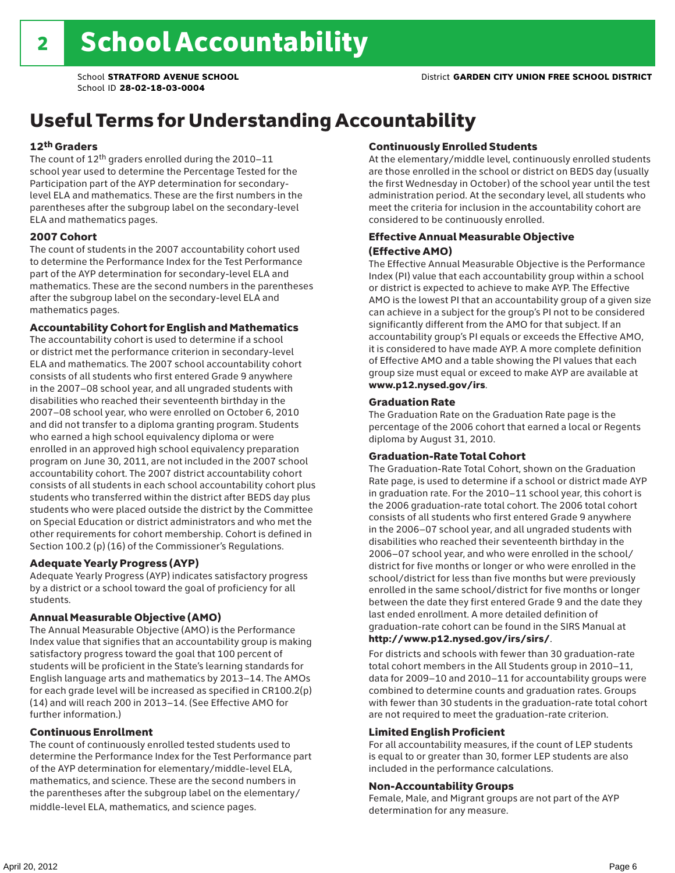# Useful Terms for Understanding Accountability

### 12th Graders

The count of 12th graders enrolled during the 2010–11 school year used to determine the Percentage Tested for the Participation part of the AYP determination for secondarylevel ELA and mathematics. These are the first numbers in the parentheses after the subgroup label on the secondary-level ELA and mathematics pages.

#### 2007 Cohort

The count of students in the 2007 accountability cohort used to determine the Performance Index for the Test Performance part of the AYP determination for secondary-level ELA and mathematics. These are the second numbers in the parentheses after the subgroup label on the secondary-level ELA and mathematics pages.

#### Accountability Cohort for English and Mathematics

The accountability cohort is used to determine if a school or district met the performance criterion in secondary-level ELA and mathematics. The 2007 school accountability cohort consists of all students who first entered Grade 9 anywhere in the 2007–08 school year, and all ungraded students with disabilities who reached their seventeenth birthday in the 2007–08 school year, who were enrolled on October 6, 2010 and did not transfer to a diploma granting program. Students who earned a high school equivalency diploma or were enrolled in an approved high school equivalency preparation program on June 30, 2011, are not included in the 2007 school accountability cohort. The 2007 district accountability cohort consists of all students in each school accountability cohort plus students who transferred within the district after BEDS day plus students who were placed outside the district by the Committee on Special Education or district administrators and who met the other requirements for cohort membership. Cohort is defined in Section 100.2 (p) (16) of the Commissioner's Regulations.

#### Adequate Yearly Progress (AYP)

Adequate Yearly Progress (AYP) indicates satisfactory progress by a district or a school toward the goal of proficiency for all students.

#### Annual Measurable Objective (AMO)

The Annual Measurable Objective (AMO) is the Performance Index value that signifies that an accountability group is making satisfactory progress toward the goal that 100 percent of students will be proficient in the State's learning standards for English language arts and mathematics by 2013–14. The AMOs for each grade level will be increased as specified in CR100.2(p) (14) and will reach 200 in 2013–14. (See Effective AMO for further information.)

#### Continuous Enrollment

The count of continuously enrolled tested students used to determine the Performance Index for the Test Performance part of the AYP determination for elementary/middle-level ELA, mathematics, and science. These are the second numbers in the parentheses after the subgroup label on the elementary/ middle-level ELA, mathematics, and science pages.

#### Continuously Enrolled Students

At the elementary/middle level, continuously enrolled students are those enrolled in the school or district on BEDS day (usually the first Wednesday in October) of the school year until the test administration period. At the secondary level, all students who meet the criteria for inclusion in the accountability cohort are considered to be continuously enrolled.

### Effective Annual Measurable Objective (Effective AMO)

The Effective Annual Measurable Objective is the Performance Index (PI) value that each accountability group within a school or district is expected to achieve to make AYP. The Effective AMO is the lowest PI that an accountability group of a given size can achieve in a subject for the group's PI not to be considered significantly different from the AMO for that subject. If an accountability group's PI equals or exceeds the Effective AMO, it is considered to have made AYP. A more complete definition of Effective AMO and a table showing the PI values that each group size must equal or exceed to make AYP are available at www.p12.nysed.gov/irs.

#### Graduation Rate

The Graduation Rate on the Graduation Rate page is the percentage of the 2006 cohort that earned a local or Regents diploma by August 31, 2010.

#### Graduation-Rate Total Cohort

The Graduation-Rate Total Cohort, shown on the Graduation Rate page, is used to determine if a school or district made AYP in graduation rate. For the 2010–11 school year, this cohort is the 2006 graduation-rate total cohort. The 2006 total cohort consists of all students who first entered Grade 9 anywhere in the 2006–07 school year, and all ungraded students with disabilities who reached their seventeenth birthday in the 2006–07 school year, and who were enrolled in the school/ district for five months or longer or who were enrolled in the school/district for less than five months but were previously enrolled in the same school/district for five months or longer between the date they first entered Grade 9 and the date they last ended enrollment. A more detailed definition of graduation-rate cohort can be found in the SIRS Manual at

### http://www.p12.nysed.gov/irs/sirs/.

For districts and schools with fewer than 30 graduation-rate total cohort members in the All Students group in 2010–11, data for 2009–10 and 2010–11 for accountability groups were combined to determine counts and graduation rates. Groups with fewer than 30 students in the graduation-rate total cohort are not required to meet the graduation-rate criterion.

#### Limited English Proficient

For all accountability measures, if the count of LEP students is equal to or greater than 30, former LEP students are also included in the performance calculations.

#### Non-Accountability Groups

Female, Male, and Migrant groups are not part of the AYP determination for any measure.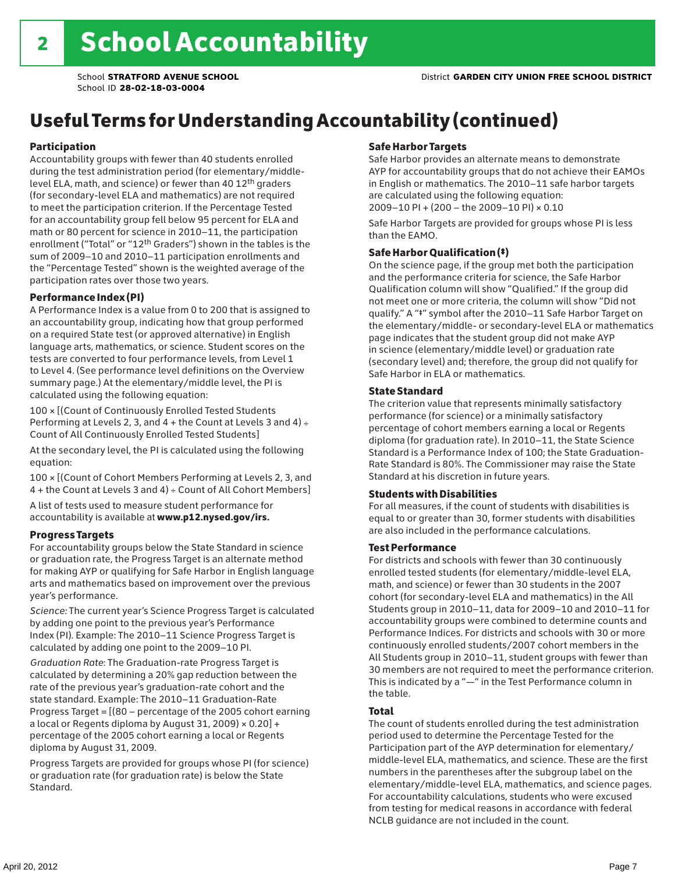# Useful Terms for Understanding Accountability (continued)

#### Participation

Accountability groups with fewer than 40 students enrolled during the test administration period (for elementary/middlelevel ELA, math, and science) or fewer than 40 12th graders (for secondary-level ELA and mathematics) are not required to meet the participation criterion. If the Percentage Tested for an accountability group fell below 95 percent for ELA and math or 80 percent for science in 2010–11, the participation enrollment ("Total" or "12th Graders") shown in the tables is the sum of 2009–10 and 2010–11 participation enrollments and the "Percentage Tested" shown is the weighted average of the participation rates over those two years.

### Performance Index (PI)

A Performance Index is a value from 0 to 200 that is assigned to an accountability group, indicating how that group performed on a required State test (or approved alternative) in English language arts, mathematics, or science. Student scores on the tests are converted to four performance levels, from Level 1 to Level 4. (See performance level definitions on the Overview summary page.) At the elementary/middle level, the PI is calculated using the following equation:

100 × [(Count of Continuously Enrolled Tested Students Performing at Levels 2, 3, and  $4 +$  the Count at Levels 3 and  $4) \div$ Count of All Continuously Enrolled Tested Students]

At the secondary level, the PI is calculated using the following equation:

100 × [(Count of Cohort Members Performing at Levels 2, 3, and 4 + the Count at Levels 3 and 4) ÷ Count of All Cohort Members]

A list of tests used to measure student performance for accountability is available at www.p12.nysed.gov/irs.

#### Progress Targets

For accountability groups below the State Standard in science or graduation rate, the Progress Target is an alternate method for making AYP or qualifying for Safe Harbor in English language arts and mathematics based on improvement over the previous year's performance.

*Science:* The current year's Science Progress Target is calculated by adding one point to the previous year's Performance Index (PI). Example: The 2010–11 Science Progress Target is calculated by adding one point to the 2009–10 PI.

*Graduation Rate*: The Graduation-rate Progress Target is calculated by determining a 20% gap reduction between the rate of the previous year's graduation-rate cohort and the state standard. Example: The 2010–11 Graduation-Rate Progress Target = [(80 – percentage of the 2005 cohort earning a local or Regents diploma by August 31, 2009)  $\times$  0.20] + percentage of the 2005 cohort earning a local or Regents diploma by August 31, 2009.

Progress Targets are provided for groups whose PI (for science) or graduation rate (for graduation rate) is below the State Standard.

### Safe Harbor Targets

Safe Harbor provides an alternate means to demonstrate AYP for accountability groups that do not achieve their EAMOs in English or mathematics. The 2010–11 safe harbor targets are calculated using the following equation: 2009–10 PI + (200 – the 2009–10 PI) × 0.10

Safe Harbor Targets are provided for groups whose PI is less than the EAMO.

### Safe Harbor Qualification (‡)

On the science page, if the group met both the participation and the performance criteria for science, the Safe Harbor Qualification column will show "Qualified." If the group did not meet one or more criteria, the column will show "Did not qualify." A "‡" symbol after the 2010–11 Safe Harbor Target on the elementary/middle- or secondary-level ELA or mathematics page indicates that the student group did not make AYP in science (elementary/middle level) or graduation rate (secondary level) and; therefore, the group did not qualify for Safe Harbor in ELA or mathematics.

### State Standard

The criterion value that represents minimally satisfactory performance (for science) or a minimally satisfactory percentage of cohort members earning a local or Regents diploma (for graduation rate). In 2010–11, the State Science Standard is a Performance Index of 100; the State Graduation-Rate Standard is 80%. The Commissioner may raise the State Standard at his discretion in future years.

#### Students with Disabilities

For all measures, if the count of students with disabilities is equal to or greater than 30, former students with disabilities are also included in the performance calculations.

#### Test Performance

For districts and schools with fewer than 30 continuously enrolled tested students (for elementary/middle-level ELA, math, and science) or fewer than 30 students in the 2007 cohort (for secondary-level ELA and mathematics) in the All Students group in 2010–11, data for 2009–10 and 2010–11 for accountability groups were combined to determine counts and Performance Indices. For districts and schools with 30 or more continuously enrolled students/2007 cohort members in the All Students group in 2010–11, student groups with fewer than 30 members are not required to meet the performance criterion. This is indicated by a "—" in the Test Performance column in the table.

#### Total

The count of students enrolled during the test administration period used to determine the Percentage Tested for the Participation part of the AYP determination for elementary/ middle-level ELA, mathematics, and science. These are the first numbers in the parentheses after the subgroup label on the elementary/middle-level ELA, mathematics, and science pages. For accountability calculations, students who were excused from testing for medical reasons in accordance with federal NCLB guidance are not included in the count.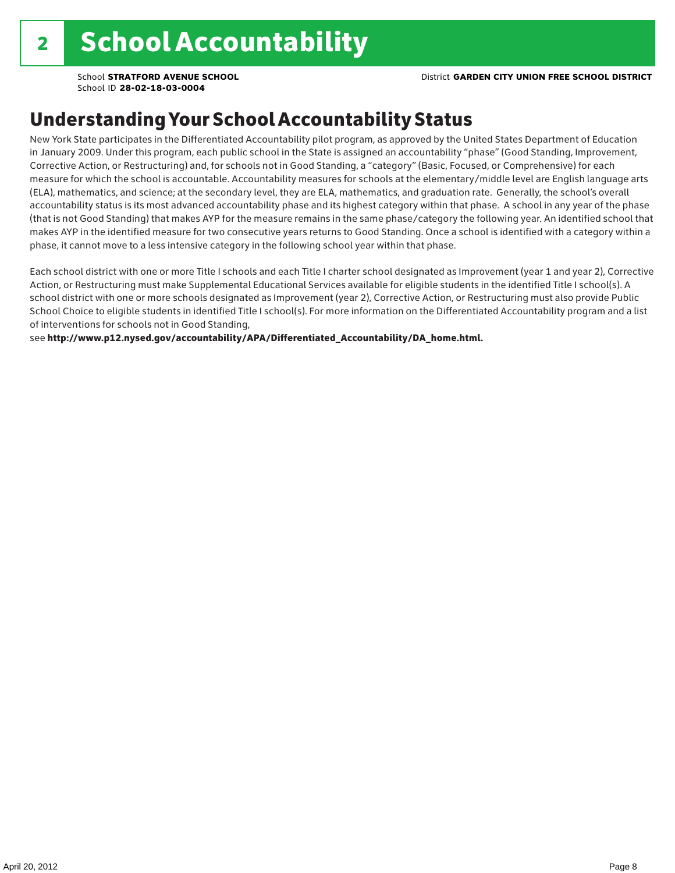School **STRATFORD AVENUE SCHOOL** District **GARDEN CITY UNION FREE SCHOOL DISTRICT**

School ID **28-02-18-03-0004**

### Understanding Your School Accountability Status

New York State participates in the Differentiated Accountability pilot program, as approved by the United States Department of Education in January 2009. Under this program, each public school in the State is assigned an accountability "phase" (Good Standing, Improvement, Corrective Action, or Restructuring) and, for schools not in Good Standing, a "category" (Basic, Focused, or Comprehensive) for each measure for which the school is accountable. Accountability measures for schools at the elementary/middle level are English language arts (ELA), mathematics, and science; at the secondary level, they are ELA, mathematics, and graduation rate. Generally, the school's overall accountability status is its most advanced accountability phase and its highest category within that phase. A school in any year of the phase (that is not Good Standing) that makes AYP for the measure remains in the same phase/category the following year. An identified school that makes AYP in the identified measure for two consecutive years returns to Good Standing. Once a school is identified with a category within a phase, it cannot move to a less intensive category in the following school year within that phase.

Each school district with one or more Title I schools and each Title I charter school designated as Improvement (year 1 and year 2), Corrective Action, or Restructuring must make Supplemental Educational Services available for eligible students in the identified Title I school(s). A school district with one or more schools designated as Improvement (year 2), Corrective Action, or Restructuring must also provide Public School Choice to eligible students in identified Title I school(s). For more information on the Differentiated Accountability program and a list of interventions for schools not in Good Standing,

see http://www.p12.nysed.gov/accountability/APA/Differentiated\_Accountability/DA\_home.html.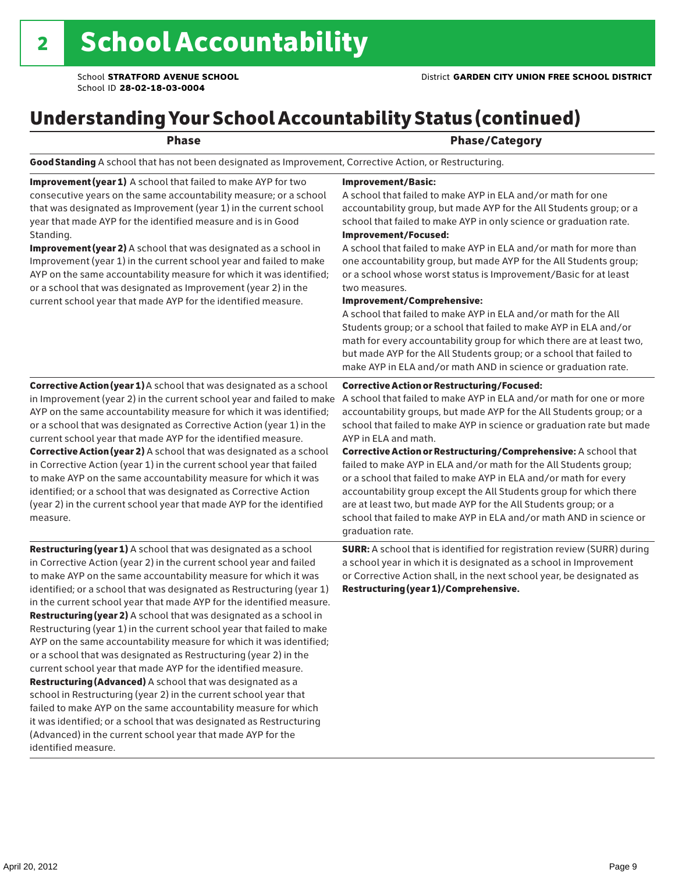# Understanding Your School Accountability Status (continued)

### end and the contract of the Phase/Category

Good Standing A school that has not been designated as Improvement, Corrective Action, or Restructuring.

Improvement (year 1) A school that failed to make AYP for two consecutive years on the same accountability measure; or a school that was designated as Improvement (year 1) in the current school year that made AYP for the identified measure and is in Good Standing.

Improvement (year 2) A school that was designated as a school in Improvement (year 1) in the current school year and failed to make AYP on the same accountability measure for which it was identified; or a school that was designated as Improvement (year 2) in the current school year that made AYP for the identified measure.

Corrective Action (year 1) A school that was designated as a school in Improvement (year 2) in the current school year and failed to make AYP on the same accountability measure for which it was identified; or a school that was designated as Corrective Action (year 1) in the current school year that made AYP for the identified measure. Corrective Action (year 2) A school that was designated as a school in Corrective Action (year 1) in the current school year that failed to make AYP on the same accountability measure for which it was identified; or a school that was designated as Corrective Action (year 2) in the current school year that made AYP for the identified measure.

**Restructuring (year 1)** A school that was designated as a school in Corrective Action (year 2) in the current school year and failed to make AYP on the same accountability measure for which it was identified; or a school that was designated as Restructuring (year 1) in the current school year that made AYP for the identified measure. Restructuring (year 2) A school that was designated as a school in Restructuring (year 1) in the current school year that failed to make AYP on the same accountability measure for which it was identified; or a school that was designated as Restructuring (year 2) in the current school year that made AYP for the identified measure. Restructuring (Advanced) A school that was designated as a school in Restructuring (year 2) in the current school year that failed to make AYP on the same accountability measure for which it was identified; or a school that was designated as Restructuring (Advanced) in the current school year that made AYP for the identified measure.

#### Improvement/Basic:

A school that failed to make AYP in ELA and/or math for one accountability group, but made AYP for the All Students group; or a school that failed to make AYP in only science or graduation rate.

Improvement/Focused:

A school that failed to make AYP in ELA and/or math for more than one accountability group, but made AYP for the All Students group; or a school whose worst status is Improvement/Basic for at least two measures.

#### Improvement/Comprehensive:

A school that failed to make AYP in ELA and/or math for the All Students group; or a school that failed to make AYP in ELA and/or math for every accountability group for which there are at least two, but made AYP for the All Students group; or a school that failed to make AYP in ELA and/or math AND in science or graduation rate.

#### Corrective Action or Restructuring/Focused:

A school that failed to make AYP in ELA and/or math for one or more accountability groups, but made AYP for the All Students group; or a school that failed to make AYP in science or graduation rate but made AYP in ELA and math.

Corrective Action or Restructuring/Comprehensive: A school that failed to make AYP in ELA and/or math for the All Students group; or a school that failed to make AYP in ELA and/or math for every accountability group except the All Students group for which there are at least two, but made AYP for the All Students group; or a school that failed to make AYP in ELA and/or math AND in science or graduation rate.

SURR: A school that is identified for registration review (SURR) during a school year in which it is designated as a school in Improvement or Corrective Action shall, in the next school year, be designated as Restructuring (year 1)/Comprehensive.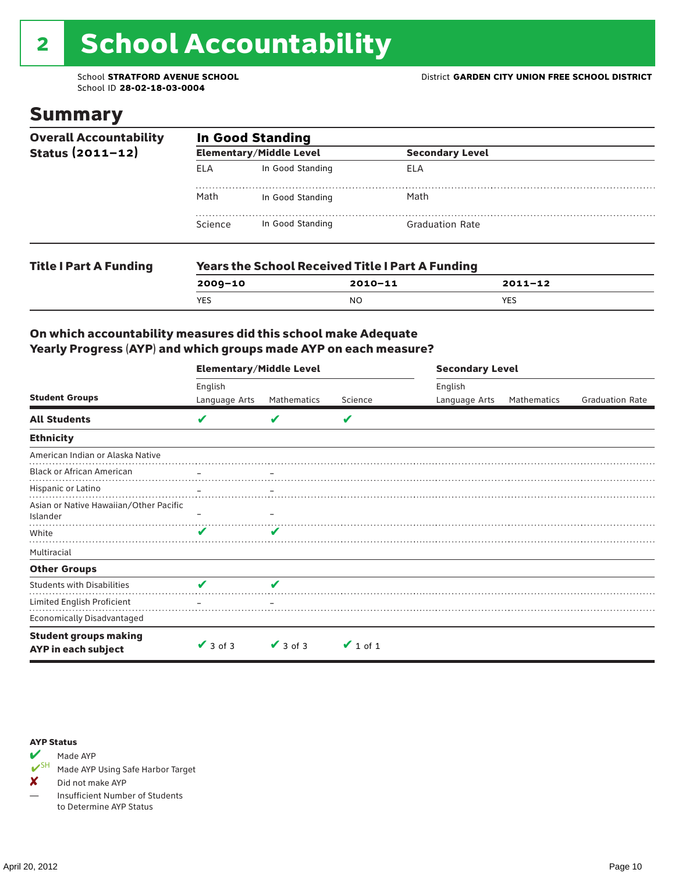# 2 School Accountability

### Summary

| <b>Overall Accountability</b><br>Status $(2011 - 12)$ | <b>In Good Standing</b> |                                |                                                         |             |  |  |
|-------------------------------------------------------|-------------------------|--------------------------------|---------------------------------------------------------|-------------|--|--|
|                                                       |                         | <b>Elementary/Middle Level</b> | <b>Secondary Level</b>                                  |             |  |  |
|                                                       | <b>ELA</b>              | In Good Standing               | ELA                                                     |             |  |  |
|                                                       | Math                    | In Good Standing               | Math                                                    |             |  |  |
|                                                       | Science                 | In Good Standing               | <b>Graduation Rate</b>                                  |             |  |  |
| <b>Title I Part A Funding</b>                         |                         |                                | <b>Years the School Received Title I Part A Funding</b> |             |  |  |
|                                                       | $2009 - 10$             |                                | $2010 - 11$                                             | $2011 - 12$ |  |  |

YES NO YES

### On which accountability measures did this school make Adequate Yearly Progress (AYP) and which groups made AYP on each measure?

|                                                     | <b>Elementary/Middle Level</b> |                   |               | <b>Secondary Level</b> |             |                        |  |
|-----------------------------------------------------|--------------------------------|-------------------|---------------|------------------------|-------------|------------------------|--|
|                                                     | English                        |                   |               | English                |             |                        |  |
| <b>Student Groups</b>                               | Language Arts                  | Mathematics       | Science       | Language Arts          | Mathematics | <b>Graduation Rate</b> |  |
| <b>All Students</b>                                 | V                              |                   | V             |                        |             |                        |  |
| <b>Ethnicity</b>                                    |                                |                   |               |                        |             |                        |  |
| American Indian or Alaska Native                    |                                |                   |               |                        |             |                        |  |
| <b>Black or African American</b>                    |                                | $\qquad \qquad -$ |               |                        |             |                        |  |
| Hispanic or Latino                                  |                                |                   |               |                        |             |                        |  |
| Asian or Native Hawaiian/Other Pacific<br>Islander  |                                |                   |               |                        |             |                        |  |
| White                                               | V                              |                   |               |                        |             |                        |  |
| Multiracial                                         |                                |                   |               |                        |             |                        |  |
| <b>Other Groups</b>                                 |                                |                   |               |                        |             |                        |  |
| <b>Students with Disabilities</b>                   | V                              | V                 |               |                        |             |                        |  |
| Limited English Proficient                          |                                |                   |               |                        |             |                        |  |
| <b>Economically Disadvantaged</b>                   |                                |                   |               |                        |             |                        |  |
| <b>Student groups making</b><br>AYP in each subject | $\vee$ 3 of 3                  | $\vee$ 3 of 3     | $\vee$ 1 of 1 |                        |             |                        |  |

#### AYP Status



Made AYP Using Safe Harbor Target

✘ Did not make AYP

— Insufficient Number of Students to Determine AYP Status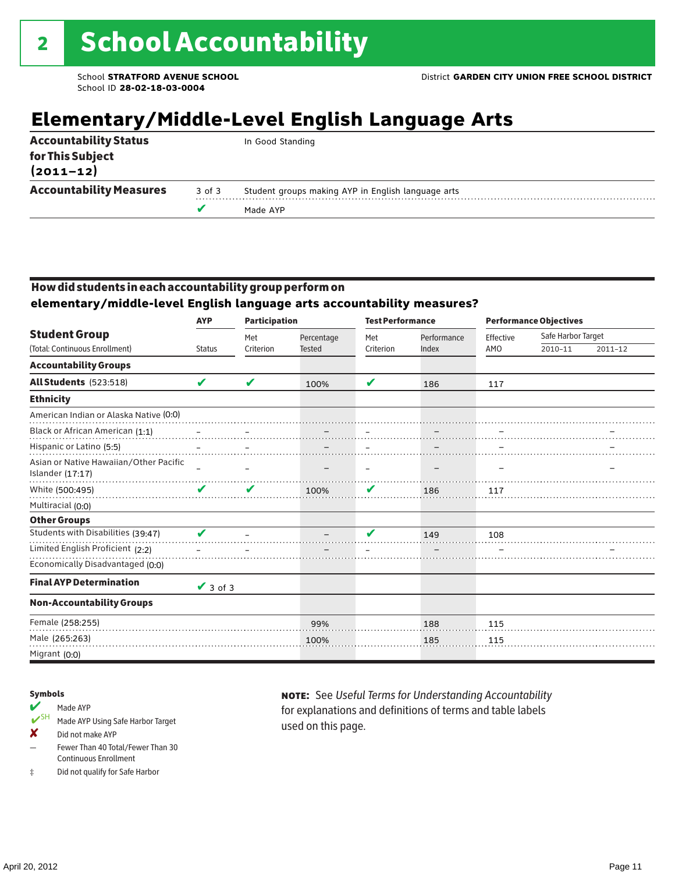# **Elementary/Middle-Level English Language Arts**

|                                   |        | Made AYP                                           |
|-----------------------------------|--------|----------------------------------------------------|
| <b>Accountability Measures</b>    | 3 of 3 | Student groups making AYP in English language arts |
| for This Subject<br>$(2011 - 12)$ |        |                                                    |
| <b>Accountability Status</b>      |        | In Good Standing                                   |

### How did students in each accountability group perform on

**elementary/middle-level English language arts accountability measures?**

|                                                            | <b>Participation</b><br><b>AYP</b> |                  |                             | <b>Test Performance</b>  |                      | <b>Performance Objectives</b> |         |                               |  |
|------------------------------------------------------------|------------------------------------|------------------|-----------------------------|--------------------------|----------------------|-------------------------------|---------|-------------------------------|--|
| <b>Student Group</b><br>(Total: Continuous Enrollment)     | <b>Status</b>                      | Met<br>Criterion | Percentage<br><b>Tested</b> | Met<br>Criterion         | Performance<br>Index | Effective<br>AMO              | 2010-11 | Safe Harbor Target<br>2011-12 |  |
|                                                            |                                    |                  |                             |                          |                      |                               |         |                               |  |
| <b>Accountability Groups</b>                               |                                    |                  |                             |                          |                      |                               |         |                               |  |
| All Students (523:518)                                     | V                                  | V                | 100%                        | V                        | 186                  | 117                           |         |                               |  |
| <b>Ethnicity</b>                                           |                                    |                  |                             |                          |                      |                               |         |                               |  |
| American Indian or Alaska Native (0:0)                     |                                    |                  |                             |                          |                      |                               |         |                               |  |
| Black or African American (1:1)                            |                                    |                  |                             |                          |                      |                               |         |                               |  |
| Hispanic or Latino (5:5)                                   |                                    |                  |                             |                          |                      |                               |         |                               |  |
| Asian or Native Hawaiian/Other Pacific<br>Islander (17:17) |                                    |                  |                             | $\overline{\phantom{0}}$ |                      |                               |         |                               |  |
| White (500:495)                                            | ✔                                  | V                | 100%                        | V                        | 186                  | 117                           |         |                               |  |
| Multiracial (0:0)                                          |                                    |                  |                             |                          |                      |                               |         |                               |  |
| <b>Other Groups</b>                                        |                                    |                  |                             |                          |                      |                               |         |                               |  |
| Students with Disabilities (39:47)                         | ✔                                  |                  |                             | v                        | 149                  | 108                           |         |                               |  |
| Limited English Proficient (2:2)                           |                                    |                  |                             |                          |                      |                               |         |                               |  |
| Economically Disadvantaged (0:0)                           |                                    |                  |                             |                          |                      |                               |         |                               |  |
| <b>Final AYP Determination</b>                             | $\sqrt{3}$ of 3                    |                  |                             |                          |                      |                               |         |                               |  |
| <b>Non-Accountability Groups</b>                           |                                    |                  |                             |                          |                      |                               |         |                               |  |
| Female (258:255)                                           |                                    |                  | 99%                         |                          | 188                  | 115                           |         |                               |  |
| Male (265:263)                                             |                                    |                  | 100%                        |                          | 185                  | 115                           |         |                               |  |
| Migrant (0:0)                                              |                                    |                  |                             |                          |                      |                               |         |                               |  |

#### Symbols

#### Made AYP

- ✔SH Made AYP Using Safe Harbor Target
- ✘ Did not make AYP
- Fewer Than 40 Total/Fewer Than 30 Continuous Enrollment
- ‡ Did not qualify for Safe Harbor

note: See *Useful Terms for Understanding Accountability*  for explanations and definitions of terms and table labels used on this page.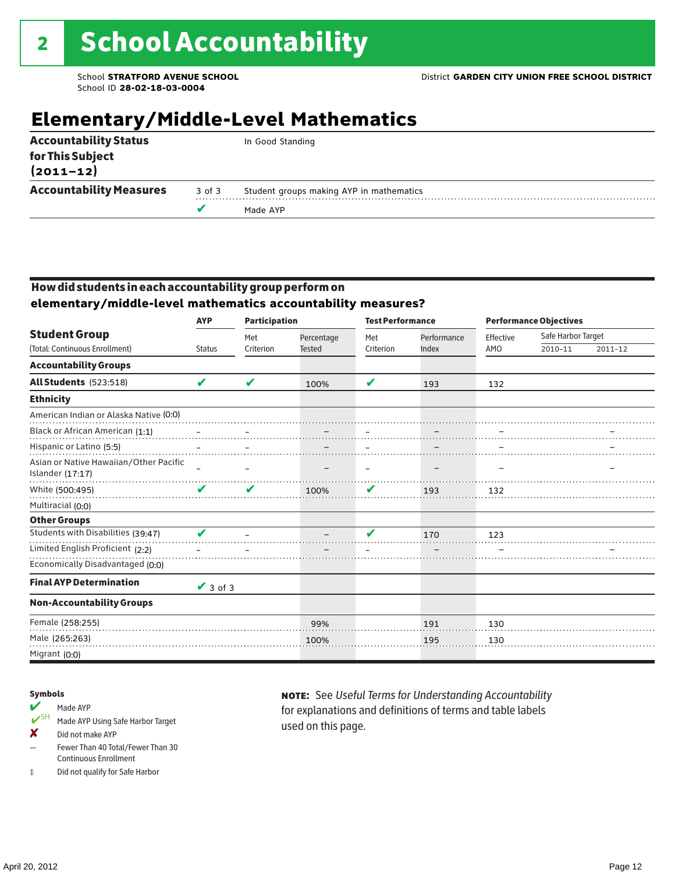# **Elementary/Middle-Level Mathematics**

|                                   |            | Made AYP                                 |
|-----------------------------------|------------|------------------------------------------|
| <b>Accountability Measures</b>    | $3$ of $3$ | Student groups making AYP in mathematics |
| for This Subject<br>$(2011 - 12)$ |            |                                          |
| <b>Accountability Status</b>      |            | In Good Standing                         |

### How did students in each accountability group perform on **elementary/middle-level mathematics accountability measures?**

|                                                            | <b>Participation</b><br><b>AYP</b> |           |               | <b>Test Performance</b> |             | <b>Performance Objectives</b> |                    |             |
|------------------------------------------------------------|------------------------------------|-----------|---------------|-------------------------|-------------|-------------------------------|--------------------|-------------|
| <b>Student Group</b>                                       |                                    | Met       | Percentage    | Met                     | Performance | Effective                     | Safe Harbor Target |             |
| (Total: Continuous Enrollment)                             | <b>Status</b>                      | Criterion | <b>Tested</b> | Criterion               | Index       | AMO                           | 2010-11            | $2011 - 12$ |
| <b>Accountability Groups</b>                               |                                    |           |               |                         |             |                               |                    |             |
| All Students (523:518)                                     | V                                  | ✔         | 100%          | ✔                       | 193         | 132                           |                    |             |
| <b>Ethnicity</b>                                           |                                    |           |               |                         |             |                               |                    |             |
| American Indian or Alaska Native (0:0)                     |                                    |           |               |                         |             |                               |                    |             |
| Black or African American (1:1)                            |                                    |           |               |                         |             |                               |                    |             |
| Hispanic or Latino (5:5)                                   |                                    |           |               |                         |             |                               |                    |             |
| Asian or Native Hawaiian/Other Pacific<br>Islander (17:17) |                                    |           |               |                         |             |                               |                    |             |
| White (500:495)                                            | $\boldsymbol{\mathcal{U}}$         | ✔         | 100%          | V                       | 193         | 132                           |                    |             |
| Multiracial (0:0)                                          |                                    |           |               |                         |             |                               |                    |             |
| <b>Other Groups</b>                                        |                                    |           |               |                         |             |                               |                    |             |
| Students with Disabilities (39:47)                         | V                                  |           |               | V                       | 170         | 123                           |                    |             |
| Limited English Proficient (2:2)                           |                                    |           |               |                         |             |                               |                    |             |
| Economically Disadvantaged (0:0)                           |                                    |           |               |                         |             |                               |                    |             |
| <b>Final AYP Determination</b>                             | $\sqrt{3}$ of 3                    |           |               |                         |             |                               |                    |             |
| <b>Non-Accountability Groups</b>                           |                                    |           |               |                         |             |                               |                    |             |
| Female (258:255)                                           |                                    |           | 99%           |                         | 191         | 130                           |                    |             |
| Male (265:263)                                             |                                    |           | 100%          |                         | 195         | 130                           |                    |             |
| Migrant (0:0)                                              |                                    |           |               |                         |             |                               |                    |             |

#### Symbols

- Made AYP<br>
SH Made AYP Made AYP Using Safe Harbor Target
- ✘ Did not make AYP
- Fewer Than 40 Total/Fewer Than 30 Continuous Enrollment
- ‡ Did not qualify for Safe Harbor

note: See *Useful Terms for Understanding Accountability*  for explanations and definitions of terms and table labels used on this page.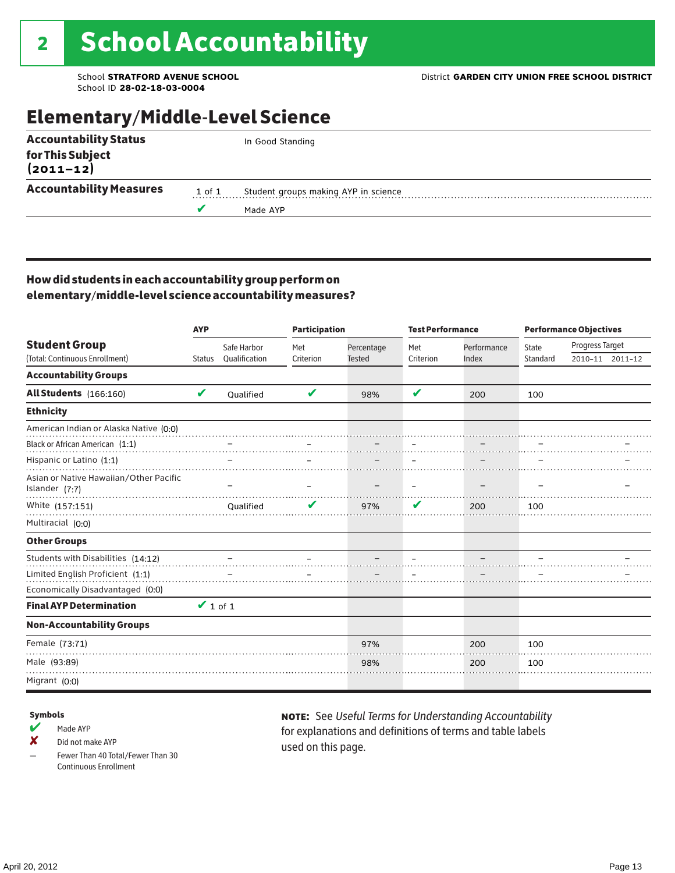## Elementary/Middle-Level Science

| <b>Accountability Status</b>   |        | In Good Standing                     |  |  |  |
|--------------------------------|--------|--------------------------------------|--|--|--|
| for This Subject<br>(2011–12)  |        |                                      |  |  |  |
| <b>Accountability Measures</b> | 1 of 1 | Student groups making AYP in science |  |  |  |
|                                |        | Made AYP                             |  |  |  |
|                                |        |                                      |  |  |  |

### How did students in each accountability group perform on elementary/middle-level science accountability measures?

|                                                          | <b>AYP</b>    |               | <b>Participation</b> |               | <b>Test Performance</b> |             | <b>Performance Objectives</b> |                 |                 |
|----------------------------------------------------------|---------------|---------------|----------------------|---------------|-------------------------|-------------|-------------------------------|-----------------|-----------------|
| <b>Student Group</b>                                     |               | Safe Harbor   | Met                  | Percentage    | Met                     | Performance | State                         | Progress Target |                 |
| (Total: Continuous Enrollment)                           | <b>Status</b> | Qualification | Criterion            | <b>Tested</b> | Criterion               | Index       | Standard                      |                 | 2010-11 2011-12 |
| <b>Accountability Groups</b>                             |               |               |                      |               |                         |             |                               |                 |                 |
| All Students (166:160)                                   | V             | Oualified     | V                    | 98%           | V                       | 200         | 100                           |                 |                 |
| <b>Ethnicity</b>                                         |               |               |                      |               |                         |             |                               |                 |                 |
| American Indian or Alaska Native (0:0)                   |               |               |                      |               |                         |             |                               |                 |                 |
| Black or African American (1:1)                          |               |               |                      |               |                         |             |                               |                 |                 |
| Hispanic or Latino (1:1)                                 |               |               |                      |               |                         |             |                               |                 |                 |
| Asian or Native Hawaiian/Other Pacific<br>Islander (7:7) |               |               |                      |               |                         |             |                               |                 |                 |
| White (157:151)                                          |               | Oualified     |                      | 97%           | V                       | 200         | 100                           |                 |                 |
| Multiracial (0:0)                                        |               |               |                      |               |                         |             |                               |                 |                 |
| <b>Other Groups</b>                                      |               |               |                      |               |                         |             |                               |                 |                 |
| Students with Disabilities (14:12)                       |               |               |                      |               |                         |             |                               |                 |                 |
| Limited English Proficient (1:1)                         |               |               |                      |               |                         |             |                               |                 |                 |
| Economically Disadvantaged (0:0)                         |               |               |                      |               |                         |             |                               |                 |                 |
| <b>Final AYP Determination</b>                           | $\vee$ 1 of 1 |               |                      |               |                         |             |                               |                 |                 |
| <b>Non-Accountability Groups</b>                         |               |               |                      |               |                         |             |                               |                 |                 |
| Female (73:71)                                           |               |               |                      | 97%           |                         | 200         | 100                           |                 |                 |
| Male (93:89)                                             |               |               |                      | 98%           |                         | 200         | 100                           |                 |                 |
| Migrant (0:0)                                            |               |               |                      |               |                         |             |                               |                 |                 |

#### Symbols

 $M$  Made AYP

✘ Did not make AYP

Fewer Than 40 Total/Fewer Than 30 Continuous Enrollment

note: See *Useful Terms for Understanding Accountability*  for explanations and definitions of terms and table labels used on this page.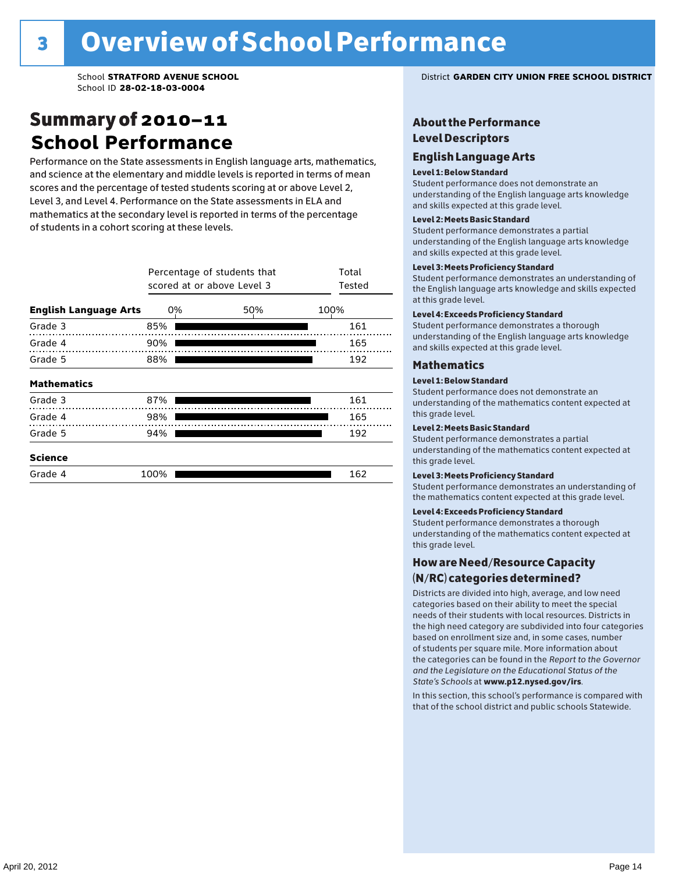### Summary of 2010–11 **School Performance**

Performance on the State assessments in English language arts, mathematics, and science at the elementary and middle levels is reported in terms of mean scores and the percentage of tested students scoring at or above Level 2, Level 3, and Level 4. Performance on the State assessments in ELA and mathematics at the secondary level is reported in terms of the percentage of students in a cohort scoring at these levels.

|                              | Percentage of students that<br>scored at or above Level 3 | Total<br>Tested |      |
|------------------------------|-----------------------------------------------------------|-----------------|------|
| <b>English Language Arts</b> | 0%                                                        | 50%             | 100% |
| Grade 3                      | 85%                                                       |                 | 161  |
| Grade 4                      | 90%                                                       |                 | 165  |
| Grade 5                      | 88%                                                       |                 | 192  |
| <b>Mathematics</b>           |                                                           |                 |      |
| Grade 3                      | 87%                                                       |                 | 161  |
| Grade 4                      | 98%                                                       |                 | 165  |
| Grade 5                      | 94%                                                       |                 | 192  |
| <b>Science</b>               |                                                           |                 |      |
| Grade 4                      | 100%                                                      |                 | 162  |

School **STRATFORD AVENUE SCHOOL** District **GARDEN CITY UNION FREE SCHOOL DISTRICT**

### About the Performance Level Descriptors

#### English Language Arts English Language Arts

#### Level 1: Below Standard

understanding of the content expected in the subjection of the subjection  $\mathcal{L}$ Student performance does not demonstrate an and skills expected at this grade level. understanding of the English language arts knowledge

#### Student performance demonstrates a partial Level 2: Meets Basic Standard understanding of the content expected in the subject of the subject of the subject of the subject of the subject

Student performance demonstrates a partial and skills expected at this grade level. Students performance demonstrates and understanding and understanding and understanding and understanding and u understanding of the English language arts knowledge

### Level 3: Meets Proficiency Standard

Level 4: Meeting Learning Standards with Distinction. the English language arts knowledge and skills expected at this grade level.<br>at this grade level.  $\mathbf{u}$  and  $\mathbf{y}$  and  $\mathbf{u}$  the subjected in the subjected in the subjected in the subjection  $\mathbf{y}$ Student performance demonstrates an understanding of

### Level 4: Exceeds Proficiency Standard

understanding of the English language arts knowledge and skills expected at this grade level.<br>———————————————————— Student performance demonstrates a thorough

#### Districts are districts and low need in the low need  $\sim$

#### categories based on their ability to meet the special Level 1: Below Standard

Student performance does not demonstrate an understanding of the mathematics content expected at  $\frac{1}{2}$  based on enrollment size and, in some cases, number  $\frac{1}{2}$  and,  $\frac{1}{2}$  and,  $\frac{1}{2}$ 

### $\overline{\mathsf{Level}}$  2: Meets Basic Standard about  $\overline{\mathsf{Level}}$

the categories can be found in the *Report to the Governor categories* can be found in the *Report to the Govern*or  $\alpha$ *and the Legislature on the Educational Status of the*  Student performance demonstrates a partial understanding of the mathematics content expected at this grade level.

### Level 3: Meets Proficiency Standard

Student performance demonstrates an understanding of the mathematics content expected at this grade level.

#### Level 4: Exceeds Proficiency Standard

Student performance demonstrates a thorough understanding of the mathematics content expected at this grade level.  $\mathcal{L}_{\text{max}}$  is performance with that of similar  $\mathcal{L}_{\text{max}}$ 

#### schools. The following factors are considered in grouping How are Need/Resource Capacity  $(N/RC)$  categories determined?  $\hphantom{N(2)}\sum_{n=1}^{\infty}\frac{1}{n}$

Districts are divided into high, average, and low need categories based on their ability to meet the special needs of their students with local resources. Districts in the high need category are subdivided into four categories based on enrollment size and, in some cases, number of students per square mile. More information about the categories can be found in the *Report to the Governor* Group: *State's Schools* at www.p12.nysed.gov/irs. *and the Legislature on the Educational Status of the* 

In this section, this school's performance is compared with that of the school district and public schools Statewide.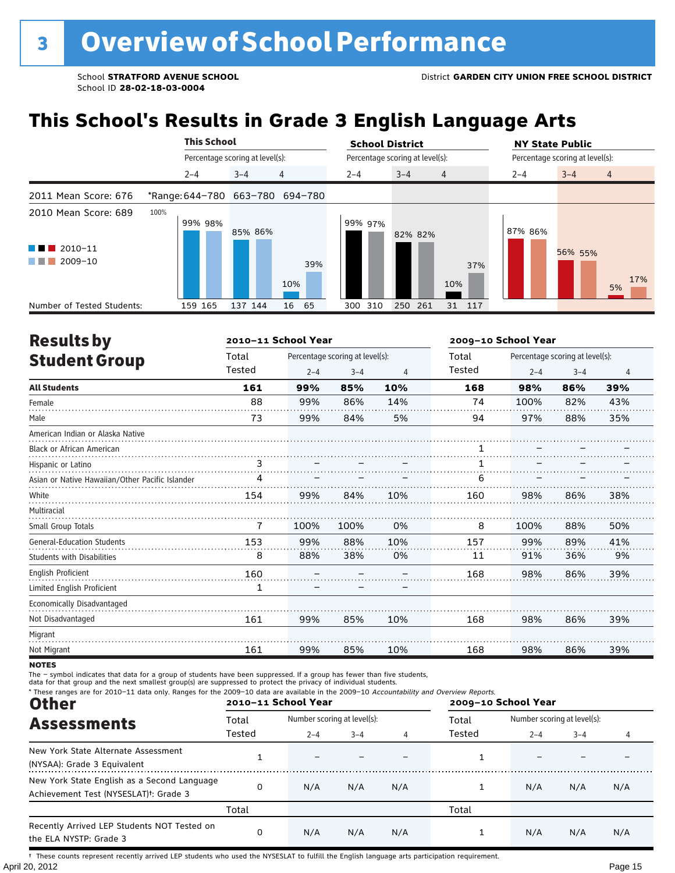# **This School's Results in Grade 3 English Language Arts**

|                                                                                                  | <b>This School</b> |                                 | <b>School District</b>                 | <b>NY State Public</b>               |  |  |  |
|--------------------------------------------------------------------------------------------------|--------------------|---------------------------------|----------------------------------------|--------------------------------------|--|--|--|
|                                                                                                  |                    | Percentage scoring at level(s): | Percentage scoring at level(s):        | Percentage scoring at level(s):      |  |  |  |
|                                                                                                  | $2 - 4$            | $\overline{4}$<br>$3 - 4$       | $3 - 4$<br>$2 - 4$<br>$\overline{4}$   | $3 - 4$<br>$\overline{4}$<br>$2 - 4$ |  |  |  |
| 2011 Mean Score: 676                                                                             |                    | *Range: 644-780 663-780 694-780 |                                        |                                      |  |  |  |
| 2010 Mean Score: 689<br>$\blacksquare$ 2010-11<br>a kacamatan ing Kabupatèn Kabupatèn<br>2009-10 | 100%<br>99% 98%    | 85% 86%<br>39%                  | 99% 97%<br>82% 82%<br>37%              | 87% 86%<br>56% 55%<br>17%            |  |  |  |
| Number of Tested Students:                                                                       | 159 165            | 10%<br>16<br>65<br>137 144      | 10%<br>300 310<br>250<br>261<br>31 117 | 5%                                   |  |  |  |

| <b>Results by</b>                               |        | 2010-11 School Year |                                 |     | 2009-10 School Year |         |                                 |                |
|-------------------------------------------------|--------|---------------------|---------------------------------|-----|---------------------|---------|---------------------------------|----------------|
| <b>Student Group</b>                            | Total  |                     | Percentage scoring at level(s): |     | Total               |         | Percentage scoring at level(s): |                |
|                                                 | Tested | $2 - 4$             | $3 - 4$                         | 4   | Tested              | $2 - 4$ | $3 - 4$                         | $\overline{4}$ |
| <b>All Students</b>                             | 161    | 99%                 | 85%                             | 10% | 168                 | 98%     | 86%                             | 39%            |
| Female                                          | 88     | 99%                 | 86%                             | 14% | 74                  | 100%    | 82%                             | 43%            |
| Male                                            | 73     | 99%                 | 84%                             | 5%  | 94                  | 97%     | 88%                             | 35%            |
| American Indian or Alaska Native                |        |                     |                                 |     |                     |         |                                 |                |
| <b>Black or African American</b>                |        |                     |                                 |     |                     |         |                                 |                |
| Hispanic or Latino                              | 3      |                     |                                 |     |                     |         |                                 |                |
| Asian or Native Hawaiian/Other Pacific Islander | 4      |                     |                                 |     | 6                   |         |                                 |                |
| White                                           | 154    | 99%                 | 84%                             | 10% | 160                 | 98%     | 86%                             | 38%            |
| Multiracial                                     |        |                     |                                 |     |                     |         |                                 |                |
| Small Group Totals                              | 7      | 100%                | 100%                            | 0%  | 8                   | 100%    | 88%                             | 50%            |
| <b>General-Education Students</b>               | 153    | 99%                 | 88%                             | 10% | 157                 | 99%     | 89%                             | 41%            |
| <b>Students with Disabilities</b>               | 8      | 88%                 | 38%                             | 0%  | 11                  | 91%     | 36%                             | 9%             |
| <b>English Proficient</b>                       | 160    |                     |                                 |     | 168                 | 98%     | 86%                             | 39%            |
| Limited English Proficient                      | 1      |                     |                                 |     |                     |         |                                 |                |
| Economically Disadvantaged                      |        |                     |                                 |     |                     |         |                                 |                |
| Not Disadvantaged                               | 161    | 99%                 | 85%                             | 10% | 168                 | 98%     | 86%                             | 39%            |
| Migrant                                         |        |                     |                                 |     |                     |         |                                 |                |
| Not Migrant                                     | 161    | 99%                 | 85%                             | 10% | 168                 | 98%     | 86%                             | 39%            |

**NOTES** 

The – symbol indicates that data for a group of students have been suppressed. If a group has fewer than five students,<br>data for that group and the next smallest group(s) are suppressed to protect the privacy of individual

| * These ranges are for 2010-11 data only. Ranges for the 2009-10 data are available in the 2009-10 Accountability and Overview Reports.<br><b>Other</b> |        | 2010-11 School Year |                             |     | 2009-10 School Year |                             |         |     |  |
|---------------------------------------------------------------------------------------------------------------------------------------------------------|--------|---------------------|-----------------------------|-----|---------------------|-----------------------------|---------|-----|--|
| <b>Assessments</b>                                                                                                                                      | Total  |                     | Number scoring at level(s): |     |                     | Number scoring at level(s): |         |     |  |
|                                                                                                                                                         | Tested | $2 - 4$             | $3 - 4$                     | 4   | Tested              | $2 - 4$                     | $3 - 4$ | 4   |  |
| New York State Alternate Assessment<br>(NYSAA): Grade 3 Equivalent                                                                                      |        |                     |                             |     |                     |                             |         |     |  |
| New York State English as a Second Language<br>Achievement Test (NYSESLAT) <sup>+</sup> : Grade 3                                                       | 0      | N/A                 | N/A                         | N/A |                     | N/A                         | N/A     | N/A |  |
|                                                                                                                                                         | Total  |                     |                             |     | Total               |                             |         |     |  |
| Recently Arrived LEP Students NOT Tested on<br>the ELA NYSTP: Grade 3                                                                                   | 0      | N/A                 | N/A                         | N/A |                     | N/A                         | N/A     | N/A |  |

April 20, 2012 Page 15 † These counts represent recently arrived LEP students who used the NYSESLAT to fulfill the English language arts participation requirement.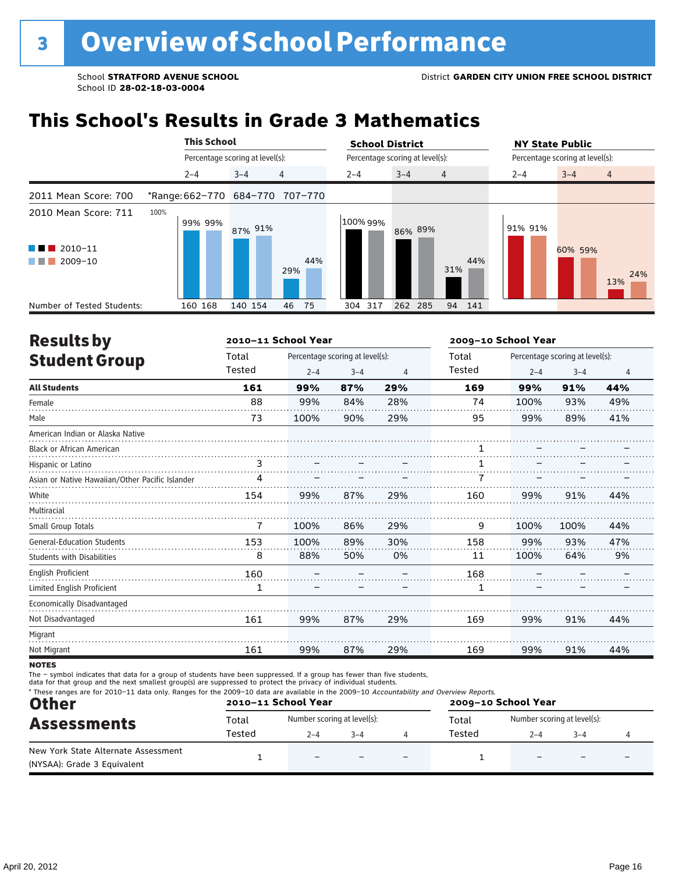# **This School's Results in Grade 3 Mathematics**

|                                                                                                 | <b>This School</b> |                                 | <b>School District</b>               | <b>NY State Public</b><br>Percentage scoring at level(s): |  |  |
|-------------------------------------------------------------------------------------------------|--------------------|---------------------------------|--------------------------------------|-----------------------------------------------------------|--|--|
|                                                                                                 |                    | Percentage scoring at level(s): | Percentage scoring at level(s):      |                                                           |  |  |
|                                                                                                 | $2 - 4$            | 4<br>$3 - 4$                    | $2 - 4$<br>$3 - 4$<br>$\overline{4}$ | $3 - 4$<br>$\overline{4}$<br>$2 - 4$                      |  |  |
| 2011 Mean Score: 700                                                                            |                    | *Range: 662-770 684-770 707-770 |                                      |                                                           |  |  |
| 2010 Mean Score: 711<br>$2010 - 11$<br><b>Contract Contract</b><br>2009-10<br><b>The Common</b> | 100%<br>99% 99%    | 87% 91%<br>44%<br>29%           | 100% 99%<br>86% 89%<br>44%<br>31%    | 91% 91%<br>60% 59%<br>24%<br>13%                          |  |  |
| Number of Tested Students:                                                                      | 160 168            | 140 154<br>46<br>75             | 262 285<br>94<br>304 317<br>141      |                                                           |  |  |

| <b>Results by</b>                               |                | 2010-11 School Year |                                 |                | 2009-10 School Year |         |                                 |                |
|-------------------------------------------------|----------------|---------------------|---------------------------------|----------------|---------------------|---------|---------------------------------|----------------|
| <b>Student Group</b>                            | Total          |                     | Percentage scoring at level(s): |                |                     |         | Percentage scoring at level(s): |                |
|                                                 | Tested         | $2 - 4$             | $3 - 4$                         | $\overline{4}$ | Tested              | $2 - 4$ | $3 - 4$                         | $\overline{4}$ |
| <b>All Students</b>                             | 161            | 99%                 | 87%                             | 29%            | 169                 | 99%     | 91%                             | 44%            |
| Female                                          | 88             | 99%                 | 84%                             | 28%            | 74                  | 100%    | 93%                             | 49%            |
| Male                                            | 73             | 100%                | 90%                             | 29%            | 95                  | 99%     | 89%                             | 41%            |
| American Indian or Alaska Native                |                |                     |                                 |                |                     |         |                                 |                |
| <b>Black or African American</b>                |                |                     |                                 |                |                     |         |                                 |                |
| Hispanic or Latino                              | 3              |                     |                                 |                |                     |         |                                 |                |
| Asian or Native Hawaiian/Other Pacific Islander | 4              |                     |                                 |                |                     |         |                                 |                |
| White                                           | 154            | 99%                 | 87%                             | 29%            | 160                 | 99%     | 91%                             | 44%            |
| Multiracial                                     |                |                     |                                 |                |                     |         |                                 |                |
| Small Group Totals                              | $\overline{7}$ | 100%                | 86%                             | 29%            | 9                   | 100%    | 100%                            | 44%            |
| <b>General-Education Students</b>               | 153            | 100%                | 89%                             | 30%            | 158                 | 99%     | 93%                             | 47%            |
| <b>Students with Disabilities</b>               | 8              | 88%                 | 50%                             | 0%             | 11                  | 100%    | 64%                             | 9%             |
| <b>English Proficient</b>                       | 160            |                     |                                 |                | 168                 |         |                                 |                |
| Limited English Proficient                      | 1              |                     |                                 |                | 1                   |         |                                 |                |
| Economically Disadvantaged                      |                |                     |                                 |                |                     |         |                                 |                |
| Not Disadvantaged                               | 161            | 99%                 | 87%                             | 29%            | 169                 | 99%     | 91%                             | 44%            |
| Migrant                                         |                |                     |                                 |                |                     |         |                                 |                |
| Not Migrant                                     | 161            | 99%                 | 87%                             | 29%            | 169                 | 99%     | 91%                             | 44%            |

**NOTES** 

The – symbol indicates that data for a group of students have been suppressed. If a group has fewer than five students,<br>data for that group and the next smallest group(s) are suppressed to protect the privacy of individual

| <b>Other</b>                                                       |        | 2010-11 School Year         |         | * These ranges are for 2010-11 data only. Ranges for the 2009-10 data are available in the 2009-10 Accountability and Overview Reports.<br>2009-10 School Year |        |                             |         |  |
|--------------------------------------------------------------------|--------|-----------------------------|---------|----------------------------------------------------------------------------------------------------------------------------------------------------------------|--------|-----------------------------|---------|--|
| <b>Assessments</b>                                                 | Total  | Number scoring at level(s): |         |                                                                                                                                                                | Total  | Number scoring at level(s): |         |  |
|                                                                    | Tested | $2 - 4$                     | $3 - 4$ |                                                                                                                                                                | Tested | $2 - 4$                     | $3 - 4$ |  |
| New York State Alternate Assessment<br>(NYSAA): Grade 3 Equivalent |        | $\overline{\phantom{0}}$    |         |                                                                                                                                                                |        |                             |         |  |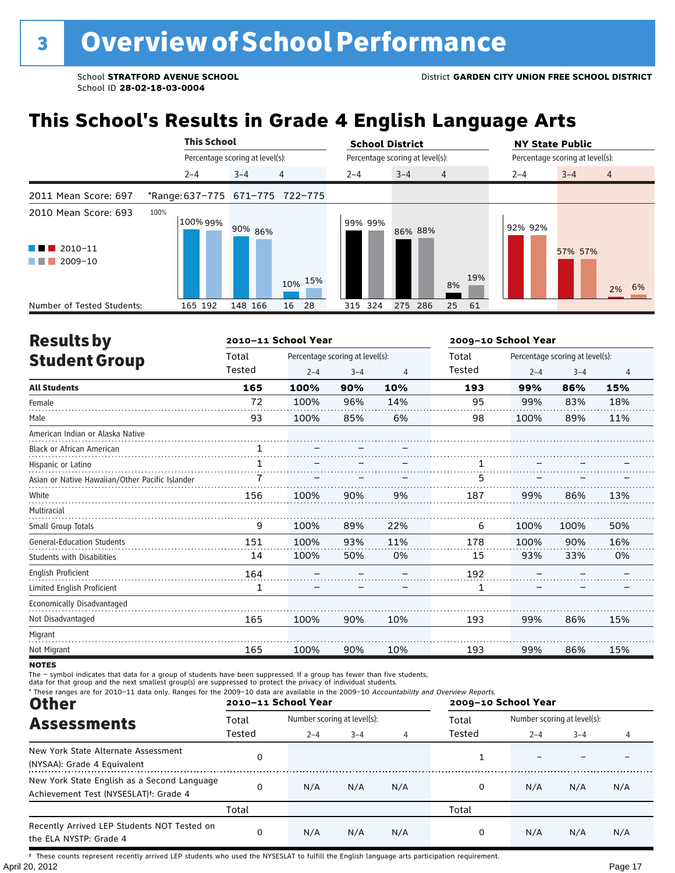# **This School's Results in Grade 4 English Language Arts**

|                                                                          |                                 | <b>This School</b>              |                |         | <b>School District</b>          |     |         | <b>NY State Public</b>          |  |  |  |
|--------------------------------------------------------------------------|---------------------------------|---------------------------------|----------------|---------|---------------------------------|-----|---------|---------------------------------|--|--|--|
|                                                                          |                                 | Percentage scoring at level(s): |                |         | Percentage scoring at level(s): |     |         | Percentage scoring at level(s): |  |  |  |
|                                                                          | $2 - 4$                         | $3 - 4$                         | $\overline{4}$ | $2 - 4$ | $3 - 4$<br>$\overline{4}$       |     | $2 - 4$ | $3 - 4$<br>$\overline{4}$       |  |  |  |
| 2011 Mean Score: 697                                                     | *Range: 637-775 671-775 722-775 |                                 |                |         |                                 |     |         |                                 |  |  |  |
| 2010 Mean Score: 693<br>$\blacksquare$ 2010-11<br>a kacamatan<br>2009-10 | 100%<br>100% 99%                | 90% 86%                         | 10% 15%        | 99% 99% | 86% 88%<br>8%                   | 19% | 92% 92% | 57% 57%<br>6%<br>2%             |  |  |  |
| Number of Tested Students:                                               | 165 192                         | 148 166                         | 16<br>28       | 315 324 | 275 286<br>25                   | 61  |         |                                 |  |  |  |

| <b>Results by</b>                               |              | 2010-11 School Year |                                 |                | 2009-10 School Year |         |                                 |                |  |
|-------------------------------------------------|--------------|---------------------|---------------------------------|----------------|---------------------|---------|---------------------------------|----------------|--|
| <b>Student Group</b>                            | Total        |                     | Percentage scoring at level(s): |                | Total               |         | Percentage scoring at level(s): |                |  |
|                                                 | Tested       | $2 - 4$             | $3 - 4$                         | $\overline{4}$ | Tested              | $2 - 4$ | $3 - 4$                         | $\overline{4}$ |  |
| <b>All Students</b>                             | 165          | 100%                | 90%                             | 10%            | 193                 | 99%     | 86%                             | 15%            |  |
| Female                                          | 72           | 100%                | 96%                             | 14%            | 95                  | 99%     | 83%                             | 18%            |  |
| Male                                            | 93           | 100%                | 85%                             | 6%             | 98                  | 100%    | 89%                             | 11%            |  |
| American Indian or Alaska Native                |              |                     |                                 |                |                     |         |                                 |                |  |
| <b>Black or African American</b>                | $\mathbf{1}$ |                     |                                 |                |                     |         |                                 |                |  |
| Hispanic or Latino                              | $\mathbf{1}$ |                     |                                 |                | 1                   |         |                                 |                |  |
| Asian or Native Hawaiian/Other Pacific Islander |              |                     |                                 |                | 5                   |         |                                 |                |  |
| White                                           | 156          | 100%                | 90%                             | 9%             | 187                 | 99%     | 86%                             | 13%            |  |
| Multiracial                                     |              |                     |                                 |                |                     |         |                                 |                |  |
| Small Group Totals                              | 9            | 100%                | 89%                             | 22%            | 6                   | 100%    | 100%                            | 50%            |  |
| <b>General-Education Students</b>               | 151          | 100%                | 93%                             | 11%            | 178                 | 100%    | 90%                             | 16%            |  |
| <b>Students with Disabilities</b>               | 14           | 100%                | 50%                             | 0%             | 15                  | 93%     | 33%                             | 0%             |  |
| English Proficient                              | 164          |                     |                                 |                | 192                 |         |                                 |                |  |
| Limited English Proficient                      | 1            |                     |                                 |                | 1                   |         |                                 |                |  |
| Economically Disadvantaged                      |              |                     |                                 |                |                     |         |                                 |                |  |
| Not Disadvantaged                               | 165          | 100%                | 90%                             | 10%            | 193                 | 99%     | 86%                             | 15%            |  |
| Migrant                                         |              |                     |                                 |                |                     |         |                                 |                |  |
| Not Migrant                                     | 165          | 100%                | 90%                             | 10%            | 193                 | 99%     | 86%                             | 15%            |  |

**NOTES** 

The – symbol indicates that data for a group of students have been suppressed. If a group has fewer than five students,<br>data for that group and the next smallest group(s) are suppressed to protect the privacy of individual

| * These ranges are for 2010-11 data only. Ranges for the 2009-10 data are available in the 2009-10 Accountability and Overview Reports.<br><b>Other</b> |        | 2010-11 School Year |                             |     | 2009-10 School Year |                             |         |     |
|---------------------------------------------------------------------------------------------------------------------------------------------------------|--------|---------------------|-----------------------------|-----|---------------------|-----------------------------|---------|-----|
| <b>Assessments</b>                                                                                                                                      | Total  |                     | Number scoring at level(s): |     |                     | Number scoring at level(s): |         |     |
|                                                                                                                                                         | Tested | $2 - 4$             | $3 - 4$                     | 4   | Tested              | $2 - 4$                     | $3 - 4$ | 4   |
| New York State Alternate Assessment<br>(NYSAA): Grade 4 Equivalent                                                                                      | 0      |                     |                             |     |                     |                             |         |     |
| New York State English as a Second Language<br>Achievement Test (NYSESLAT) <sup>+</sup> : Grade 4                                                       | 0      | N/A                 | N/A                         | N/A | 0                   | N/A                         | N/A     | N/A |
|                                                                                                                                                         | Total  |                     |                             |     | Total               |                             |         |     |
| Recently Arrived LEP Students NOT Tested on<br>the ELA NYSTP: Grade 4                                                                                   | 0      | N/A                 | N/A                         | N/A | 0                   | N/A                         | N/A     | N/A |

April 20, 2012 Page 17 † These counts represent recently arrived LEP students who used the NYSESLAT to fulfill the English language arts participation requirement.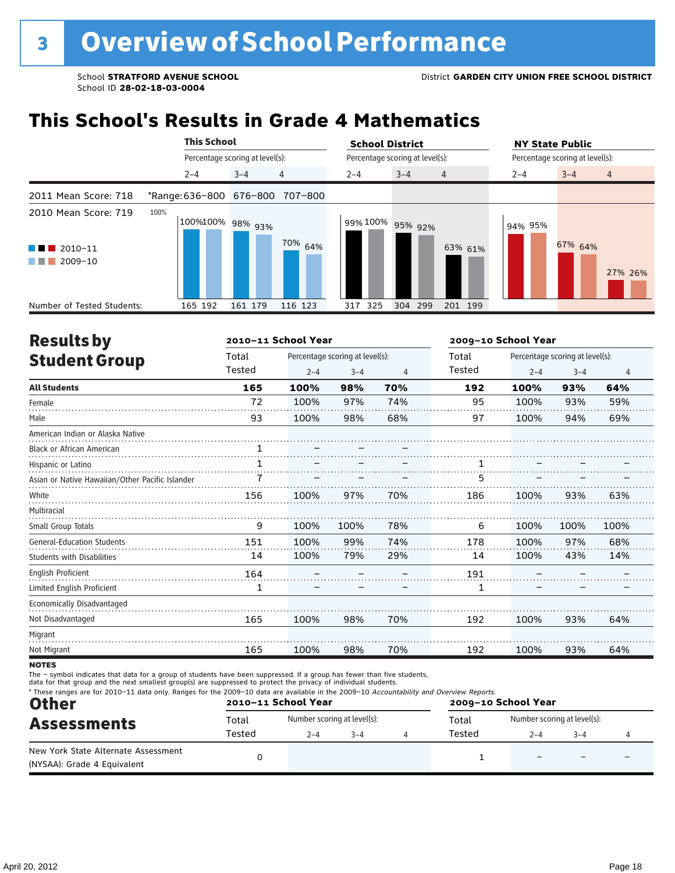# **This School's Results in Grade 4 Mathematics**

|                                                                                     | <b>This School</b>       |                                 | <b>School District</b>               | <b>NY State Public</b>          |
|-------------------------------------------------------------------------------------|--------------------------|---------------------------------|--------------------------------------|---------------------------------|
|                                                                                     |                          | Percentage scoring at level(s): | Percentage scoring at level(s):      | Percentage scoring at level(s): |
|                                                                                     | $2 - 4$                  | $\overline{4}$<br>$3 - 4$       | $3 - 4$<br>$2 - 4$<br>$\overline{4}$ | $3 - 4$<br>$2 - 4$<br>4         |
| 2011 Mean Score: 718                                                                | *Range: 636-800 676-800  | 707-800                         |                                      |                                 |
| 2010 Mean Score: 719<br>$\blacksquare$ 2010-11<br><b>Contract</b><br>2009-10<br>. . | 100%<br>100%100% 98% 93% | 70% 64%                         | 99% 100%<br>95% 92%<br>63% 61%       | 94% 95%<br>67% 64%<br>27% 26%   |
| Number of Tested Students:                                                          | 165 192                  | 161 179<br>116 123              | 325<br>304<br>299<br>201 199<br>317  |                                 |

| <b>Results by</b>                               |        | 2010-11 School Year |                                 |                | 2009-10 School Year |         |                                 |                |
|-------------------------------------------------|--------|---------------------|---------------------------------|----------------|---------------------|---------|---------------------------------|----------------|
| <b>Student Group</b>                            | Total  |                     | Percentage scoring at level(s): |                | Total               |         | Percentage scoring at level(s): |                |
|                                                 | Tested | $2 - 4$             | $3 - 4$                         | $\overline{4}$ | Tested              | $2 - 4$ | $3 - 4$                         | $\overline{4}$ |
| <b>All Students</b>                             | 165    | 100%                | 98%                             | 70%            | 192                 | 100%    | 93%                             | 64%            |
| Female                                          | 72     | 100%                | 97%                             | 74%            | 95                  | 100%    | 93%                             | 59%            |
| Male                                            | 93     | 100%                | 98%                             | 68%            | 97                  | 100%    | 94%                             | 69%            |
| American Indian or Alaska Native                |        |                     |                                 |                |                     |         |                                 |                |
| <b>Black or African American</b>                | 1      |                     |                                 |                |                     |         |                                 |                |
| Hispanic or Latino                              | 1      |                     |                                 |                |                     |         |                                 |                |
| Asian or Native Hawaiian/Other Pacific Islander |        |                     |                                 |                | 5                   |         |                                 |                |
| White                                           | 156    | 100%                | 97%                             | 70%            | 186                 | 100%    | 93%                             | 63%            |
| Multiracial                                     |        |                     |                                 |                |                     |         |                                 |                |
| Small Group Totals                              | 9      | 100%                | 100%                            | 78%            | 6                   | 100%    | 100%                            | 100%           |
| <b>General-Education Students</b>               | 151    | 100%                | 99%                             | 74%            | 178                 | 100%    | 97%                             | 68%            |
| <b>Students with Disabilities</b>               | 14     | 100%                | 79%                             | 29%            | 14                  | 100%    | 43%                             | 14%            |
| <b>English Proficient</b>                       | 164    |                     |                                 |                | 191                 |         |                                 |                |
| Limited English Proficient                      | 1      |                     |                                 |                | 1                   |         |                                 |                |
| Economically Disadvantaged                      |        |                     |                                 |                |                     |         |                                 |                |
| Not Disadvantaged                               | 165    | 100%                | 98%                             | 70%            | 192                 | 100%    | 93%                             | 64%            |
| Migrant                                         |        |                     |                                 |                |                     |         |                                 |                |
| Not Migrant                                     | 165    | 100%                | 98%                             | 70%            | 192                 | 100%    | 93%                             | 64%            |
|                                                 |        |                     |                                 |                |                     |         |                                 |                |

**NOTES** 

The – symbol indicates that data for a group of students have been suppressed. If a group has fewer than five students,<br>data for that group and the next smallest group(s) are suppressed to protect the privacy of individual

| * These ranges are for 2010-11 data only. Ranges for the 2009-10 data are available in the 2009-10 Accountability and Overview Reports.<br><b>Other</b> |                 | 2010-11 School Year                    |         | 2009-10 School Year |                 |                                                   |  |  |
|---------------------------------------------------------------------------------------------------------------------------------------------------------|-----------------|----------------------------------------|---------|---------------------|-----------------|---------------------------------------------------|--|--|
| <b>Assessments</b>                                                                                                                                      | Total<br>Tested | Number scoring at level(s):<br>$2 - 4$ | $3 - 4$ |                     | Total<br>Tested | Number scoring at level(s):<br>$2 - 4$<br>$3 - 4$ |  |  |
| New York State Alternate Assessment<br>(NYSAA): Grade 4 Equivalent                                                                                      |                 |                                        |         |                     |                 |                                                   |  |  |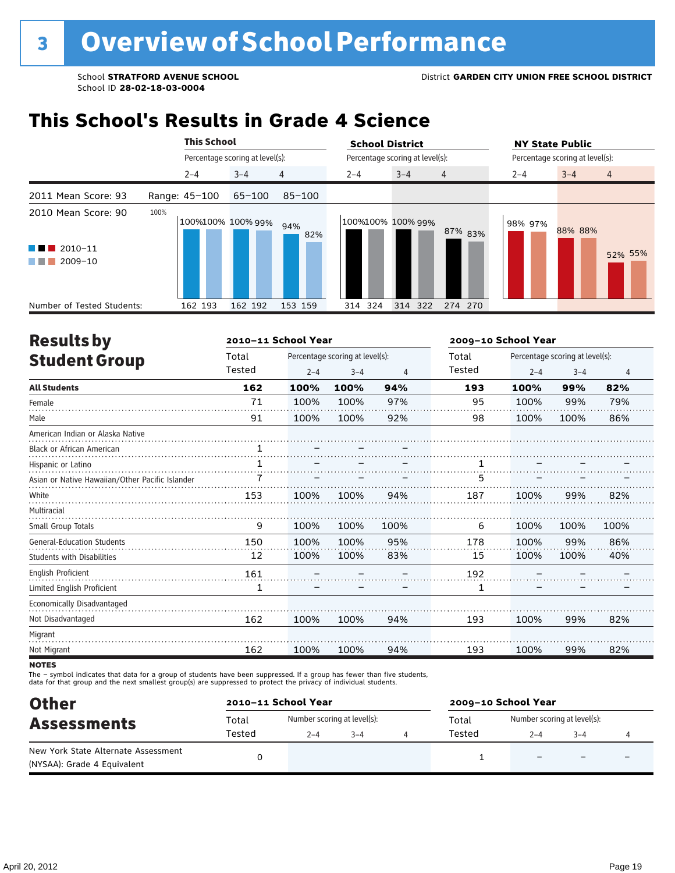### **This School's Results in Grade 4 Science**

|                                                                            |      | <b>This School</b> |                                 |            | <b>School District</b>          |         |                | <b>NY State Public</b>          |         |                |
|----------------------------------------------------------------------------|------|--------------------|---------------------------------|------------|---------------------------------|---------|----------------|---------------------------------|---------|----------------|
|                                                                            |      |                    | Percentage scoring at level(s): |            | Percentage scoring at level(s): |         |                | Percentage scoring at level(s): |         |                |
|                                                                            |      | $2 - 4$            | $3 - 4$                         | 4          | $2 - 4$                         | $3 - 4$ | $\overline{4}$ | $2 - 4$                         | $3 - 4$ | $\overline{4}$ |
| 2011 Mean Score: 93                                                        |      | Range: 45-100      | $65 - 100$                      | $85 - 100$ |                                 |         |                |                                 |         |                |
| 2010 Mean Score: 90<br>2010-11<br>a sa Tan<br>2009-10<br><b>The Common</b> | 100% |                    | 100%100% 100% 99%               | 94%<br>82% | 100%100% 100% 99%               |         | 87% 83%        | 98% 97%                         | 88% 88% | 52% 55%        |
| Number of Tested Students:                                                 |      | 162 193            | 162 192                         | 153 159    | 314 324                         | 314 322 | 274 270        |                                 |         |                |

| <b>Results by</b>                               |              | 2010-11 School Year |                                 |                | 2009-10 School Year |         |                                 |                |  |
|-------------------------------------------------|--------------|---------------------|---------------------------------|----------------|---------------------|---------|---------------------------------|----------------|--|
| <b>Student Group</b>                            | Total        |                     | Percentage scoring at level(s): |                | Total               |         | Percentage scoring at level(s): |                |  |
|                                                 | Tested       | $2 - 4$             | $3 - 4$                         | $\overline{4}$ | Tested              | $2 - 4$ | $3 - 4$                         | $\overline{4}$ |  |
| <b>All Students</b>                             | 162          | 100%                | 100%                            | 94%            | 193                 | 100%    | 99%                             | 82%            |  |
| Female                                          | 71           | 100%                | 100%                            | 97%            | 95                  | 100%    | 99%                             | 79%            |  |
| Male                                            | 91           | 100%                | 100%                            | 92%            | 98                  | 100%    | 100%                            | 86%            |  |
| American Indian or Alaska Native                |              |                     |                                 |                |                     |         |                                 |                |  |
| <b>Black or African American</b>                | $\mathbf{1}$ |                     |                                 |                |                     |         |                                 |                |  |
| Hispanic or Latino                              | 1            |                     |                                 |                |                     |         |                                 |                |  |
| Asian or Native Hawaiian/Other Pacific Islander |              |                     |                                 |                | 5                   |         |                                 |                |  |
| White                                           | 153          | 100%                | 100%                            | 94%            | 187                 | 100%    | 99%                             | 82%            |  |
| Multiracial                                     |              |                     |                                 |                |                     |         |                                 |                |  |
| Small Group Totals                              | 9            | 100%                | 100%                            | 100%           | 6                   | 100%    | 100%                            | 100%           |  |
| <b>General-Education Students</b>               | 150          | 100%                | 100%                            | 95%            | 178                 | 100%    | 99%                             | 86%            |  |
| <b>Students with Disabilities</b>               | 12           | 100%                | 100%                            | 83%            | 15                  | 100%    | 100%                            | 40%            |  |
| <b>English Proficient</b>                       | 161          |                     |                                 |                | 192                 |         |                                 |                |  |
| Limited English Proficient                      | 1            |                     |                                 |                | 1                   |         |                                 |                |  |
| Economically Disadvantaged                      |              |                     |                                 |                |                     |         |                                 |                |  |
| Not Disadvantaged                               | 162          | 100%                | 100%                            | 94%            | 193                 | 100%    | 99%                             | 82%            |  |
| Migrant                                         |              |                     |                                 |                |                     |         |                                 |                |  |
| Not Migrant                                     | 162          | 100%                | 100%                            | 94%            | 193                 | 100%    | 99%                             | 82%            |  |
|                                                 |              |                     |                                 |                |                     |         |                                 |                |  |

**NOTES** 

The – symbol indicates that data for a group of students have been suppressed. If a group has fewer than five students,<br>data for that group and the next smallest group(s) are suppressed to protect the privacy of individual

| <b>Other</b>                                                       |        | 2010-11 School Year         |         | 2009-10 School Year |                             |         |  |  |
|--------------------------------------------------------------------|--------|-----------------------------|---------|---------------------|-----------------------------|---------|--|--|
| <b>Assessments</b>                                                 | Total  | Number scoring at level(s): |         | Total               | Number scoring at level(s): |         |  |  |
|                                                                    | Tested | $2 - 4$                     | $3 - 4$ | Tested              | $2 - 4$                     | $3 - 4$ |  |  |
| New York State Alternate Assessment<br>(NYSAA): Grade 4 Equivalent |        |                             |         |                     |                             |         |  |  |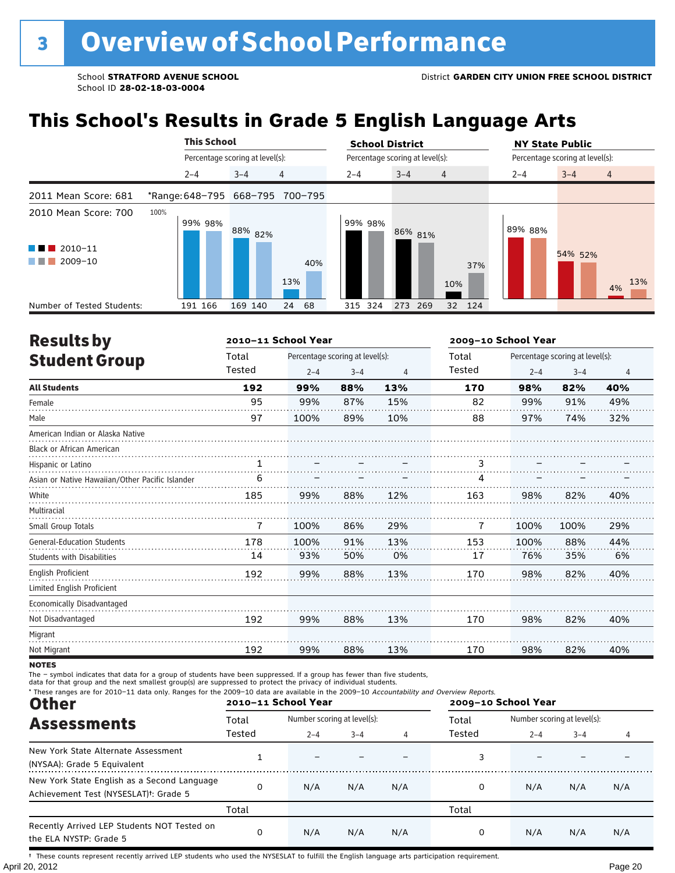# **This School's Results in Grade 5 English Language Arts**

|                                                                     | <b>This School</b> |                                 | <b>School District</b>               | <b>NY State Public</b>                 |
|---------------------------------------------------------------------|--------------------|---------------------------------|--------------------------------------|----------------------------------------|
|                                                                     |                    | Percentage scoring at level(s): | Percentage scoring at level(s):      | Percentage scoring at level(s):        |
|                                                                     | $2 - 4$            | 4<br>$3 - 4$                    | $3 - 4$<br>$\overline{4}$<br>$2 - 4$ | $3 - 4$<br>$2 - 4$<br>4                |
| 2011 Mean Score: 681                                                |                    | *Range: 648-795 668-795 700-795 |                                      |                                        |
| 2010 Mean Score: 700<br>$2010 - 11$<br><b>The Common</b><br>2009-10 | 100%<br>99% 98%    | 88% 82%<br>40%<br>13%           | 99% 98%<br>86% 81%<br>10%            | 89% 88%<br>54% 52%<br>37%<br>13%<br>4% |
| Number of Tested Students:                                          | 191 166            | 169 140<br>68<br>24             | 315 324<br>273 269                   | 32 124                                 |

| <b>Results by</b>                               |        | 2010-11 School Year |                                 |     | 2009-10 School Year |         |                                 |     |
|-------------------------------------------------|--------|---------------------|---------------------------------|-----|---------------------|---------|---------------------------------|-----|
| <b>Student Group</b>                            | Total  |                     | Percentage scoring at level(s): |     | Total               |         | Percentage scoring at level(s): |     |
|                                                 | Tested | $2 - 4$             | $3 - 4$                         | 4   | Tested              | $2 - 4$ | $3 - 4$                         | 4   |
| <b>All Students</b>                             | 192    | 99%                 | 88%                             | 13% | 170                 | 98%     | 82%                             | 40% |
| Female                                          | 95     | 99%                 | 87%                             | 15% | 82                  | 99%     | 91%                             | 49% |
| Male                                            | 97     | 100%                | 89%                             | 10% | 88                  | 97%     | 74%                             | 32% |
| American Indian or Alaska Native                |        |                     |                                 |     |                     |         |                                 |     |
| <b>Black or African American</b>                |        |                     |                                 |     |                     |         |                                 |     |
| Hispanic or Latino                              | 1      |                     |                                 |     | 3                   |         |                                 |     |
| Asian or Native Hawaiian/Other Pacific Islander | 6      |                     |                                 |     | 4                   |         |                                 |     |
| White                                           | 185    | 99%                 | 88%                             | 12% | 163                 | 98%     | 82%                             | 40% |
| Multiracial                                     |        |                     |                                 |     |                     |         |                                 |     |
| Small Group Totals                              | 7      | 100%                | 86%                             | 29% | 7                   | 100%    | 100%                            | 29% |
| <b>General-Education Students</b>               | 178    | 100%                | 91%                             | 13% | 153                 | 100%    | 88%                             | 44% |
| <b>Students with Disabilities</b>               | 14     | 93%                 | 50%                             | 0%  | 17                  | 76%     | 35%                             | 6%  |
| <b>English Proficient</b>                       | 192    | 99%                 | 88%                             | 13% | 170                 | 98%     | 82%                             | 40% |
| Limited English Proficient                      |        |                     |                                 |     |                     |         |                                 |     |
| Economically Disadvantaged                      |        |                     |                                 |     |                     |         |                                 |     |
| Not Disadvantaged                               | 192    | 99%                 | 88%                             | 13% | 170                 | 98%     | 82%                             | 40% |
| Migrant                                         |        |                     |                                 |     |                     |         |                                 |     |
| Not Migrant                                     | 192    | 99%                 | 88%                             | 13% | 170                 | 98%     | 82%                             | 40% |

**NOTES** 

The – symbol indicates that data for a group of students have been suppressed. If a group has fewer than five students,<br>data for that group and the next smallest group(s) are suppressed to protect the privacy of individual

| * These ranges are for 2010-11 data only. Ranges for the 2009-10 data are available in the 2009-10 Accountability and Overview Reports.<br><b>Other</b> |        | 2010-11 School Year         |         |     | 2009-10 School Year |                             |                       |     |
|---------------------------------------------------------------------------------------------------------------------------------------------------------|--------|-----------------------------|---------|-----|---------------------|-----------------------------|-----------------------|-----|
| <b>Assessments</b>                                                                                                                                      | Total  | Number scoring at level(s): |         |     | Total               | Number scoring at level(s): |                       |     |
|                                                                                                                                                         | Tested | $2 - 4$                     | $3 - 4$ | 4   | Tested              | $2 - 4$                     | $3 - 4$<br>N/A<br>N/A |     |
| New York State Alternate Assessment<br>(NYSAA): Grade 5 Equivalent                                                                                      |        |                             |         |     |                     |                             |                       |     |
| New York State English as a Second Language<br>Achievement Test (NYSESLAT) <sup>+</sup> : Grade 5                                                       | 0      | N/A                         | N/A     | N/A | 0                   | N/A                         |                       | N/A |
|                                                                                                                                                         | Total  |                             |         |     | Total               |                             |                       |     |
| Recently Arrived LEP Students NOT Tested on<br>the ELA NYSTP: Grade 5                                                                                   | 0      | N/A                         | N/A     | N/A |                     | N/A                         |                       | N/A |

April 20, 2012 Page 20 † These counts represent recently arrived LEP students who used the NYSESLAT to fulfill the English language arts participation requirement.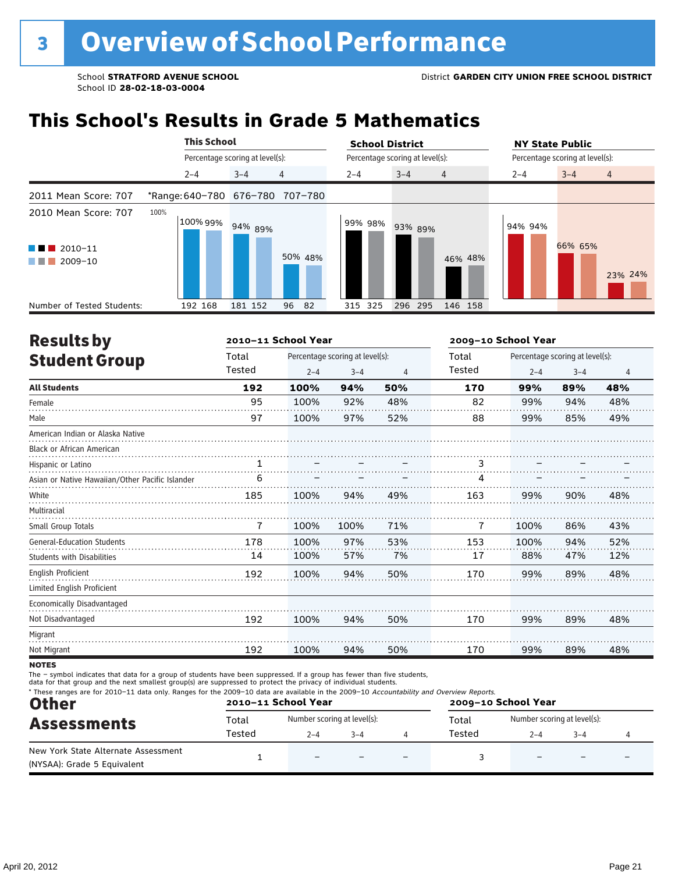# **This School's Results in Grade 5 Mathematics**

|                                                                        | <b>This School</b>              |                                 |                | <b>School District</b>          |                           |         | <b>NY State Public</b>          |         |                |  |
|------------------------------------------------------------------------|---------------------------------|---------------------------------|----------------|---------------------------------|---------------------------|---------|---------------------------------|---------|----------------|--|
|                                                                        |                                 | Percentage scoring at level(s): |                | Percentage scoring at level(s): |                           |         | Percentage scoring at level(s): |         |                |  |
|                                                                        | $2 - 4$                         | $3 - 4$                         | $\overline{4}$ | $2 - 4$                         | $3 - 4$<br>$\overline{4}$ |         | $2 - 4$                         | $3 - 4$ | $\overline{4}$ |  |
| 2011 Mean Score: 707                                                   | *Range: 640-780 676-780 707-780 |                                 |                |                                 |                           |         |                                 |         |                |  |
| 2010 Mean Score: 707<br>2010-11<br><b>Contract Contract</b><br>2009-10 | 100%<br>100%99%                 | 94% 89%                         | 50% 48%        | 99% 98%                         | 93% 89%                   | 46% 48% | 94% 94%                         | 66% 65% | 23% 24%        |  |
| Number of Tested Students:                                             | 192 168                         | 181 152                         | 96<br>82       | 315 325                         | 296 295                   | 146 158 |                                 |         |                |  |

| <b>Results by</b>                               |        | 2010-11 School Year |                                 |                | 2009-10 School Year |                                 |         |     |
|-------------------------------------------------|--------|---------------------|---------------------------------|----------------|---------------------|---------------------------------|---------|-----|
| <b>Student Group</b>                            | Total  |                     | Percentage scoring at level(s): |                |                     | Percentage scoring at level(s): |         |     |
|                                                 | Tested | $2 - 4$             | $3 - 4$                         | $\overline{4}$ | Tested              | $2 - 4$                         | $3 - 4$ | 4   |
| <b>All Students</b>                             | 192    | 100%                | 94%                             | 50%            | 170                 | 99%                             | 89%     | 48% |
| Female                                          | 95     | 100%                | 92%                             | 48%            | 82                  | 99%                             | 94%     | 48% |
| Male                                            | 97     | 100%                | 97%                             | 52%            | 88                  | 99%                             | 85%     | 49% |
| American Indian or Alaska Native                |        |                     |                                 |                |                     |                                 |         |     |
| <b>Black or African American</b>                |        |                     |                                 |                |                     |                                 |         |     |
| Hispanic or Latino                              |        |                     |                                 |                |                     |                                 |         |     |
| Asian or Native Hawaiian/Other Pacific Islander | 6      |                     |                                 |                | 4                   |                                 |         |     |
| White                                           | 185    | 100%                | 94%                             | 49%            | 163                 | 99%                             | 90%     | 48% |
| Multiracial                                     |        |                     |                                 |                |                     |                                 |         |     |
| Small Group Totals                              | 7      | 100%                | 100%                            | 71%            | 7                   | 100%                            | 86%     | 43% |
| <b>General-Education Students</b>               | 178    | 100%                | 97%                             | 53%            | 153                 | 100%                            | 94%     | 52% |
| <b>Students with Disabilities</b>               | 14     | 100%                | 57%                             | 7%             | 17                  | 88%                             | 47%     | 12% |
| English Proficient                              | 192    | 100%                | 94%                             | 50%            | 170                 | 99%                             | 89%     | 48% |
| Limited English Proficient                      |        |                     |                                 |                |                     |                                 |         |     |
| Economically Disadvantaged                      |        |                     |                                 |                |                     |                                 |         |     |
| Not Disadvantaged                               | 192    | 100%                | 94%                             | 50%            | 170                 | 99%                             | 89%     | 48% |
| Migrant                                         |        |                     |                                 |                |                     |                                 |         |     |
| Not Migrant                                     | 192    | 100%                | 94%                             | 50%            | 170                 | 99%                             | 89%     | 48% |
| <b>NOTES</b>                                    |        |                     |                                 |                |                     |                                 |         |     |

notes

The – symbol indicates that data for a group of students have been suppressed. If a group has fewer than five students,<br>data for that group and the next smallest group(s) are suppressed to protect the privacy of individual

| * These ranges are for 2010-11 data only. Ranges for the 2009-10 data are available in the 2009-10 Accountability and Overview Reports.<br><b>Other</b><br><b>Assessments</b> |        | 2010-11 School Year         |  | 2009-10 School Year      |        |                             |         |  |
|-------------------------------------------------------------------------------------------------------------------------------------------------------------------------------|--------|-----------------------------|--|--------------------------|--------|-----------------------------|---------|--|
|                                                                                                                                                                               | Total  | Number scoring at level(s): |  |                          | Total  | Number scoring at level(s): |         |  |
|                                                                                                                                                                               | Tested | $2 - 4$<br>$3 - 4$          |  |                          | Tested | $2 - 4$                     | $3 - 4$ |  |
| New York State Alternate Assessment<br>(NYSAA): Grade 5 Equivalent                                                                                                            |        | $\overline{\phantom{0}}$    |  | $\overline{\phantom{0}}$ |        |                             |         |  |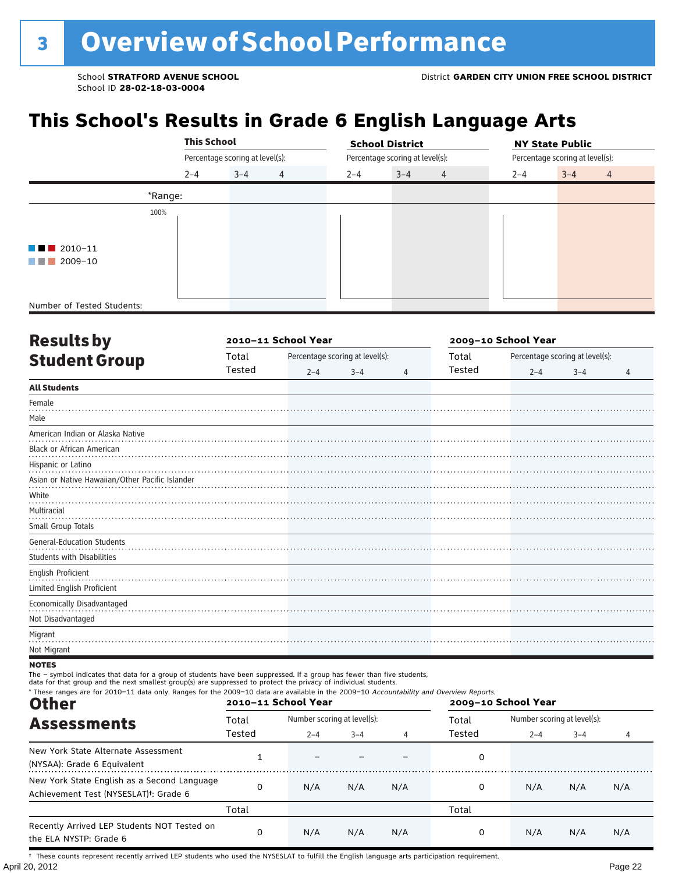## **This School's Results in Grade 6 English Language Arts**

|                              |         | <b>This School</b>              |   |         | <b>School District</b>          |                |         | <b>NY State Public</b>          |                |  |  |
|------------------------------|---------|---------------------------------|---|---------|---------------------------------|----------------|---------|---------------------------------|----------------|--|--|
|                              |         | Percentage scoring at level(s): |   |         | Percentage scoring at level(s): |                |         | Percentage scoring at level(s): |                |  |  |
|                              | $2 - 4$ | $3 - 4$                         | 4 | $2 - 4$ | $3 - 4$                         | $\overline{4}$ | $2 - 4$ | $3 - 4$                         | $\overline{4}$ |  |  |
|                              | *Range: |                                 |   |         |                                 |                |         |                                 |                |  |  |
|                              | 100%    |                                 |   |         |                                 |                |         |                                 |                |  |  |
|                              |         |                                 |   |         |                                 |                |         |                                 |                |  |  |
| $\blacksquare$ 2010-11       |         |                                 |   |         |                                 |                |         |                                 |                |  |  |
| 2009-10<br><b>TELEVISION</b> |         |                                 |   |         |                                 |                |         |                                 |                |  |  |
|                              |         |                                 |   |         |                                 |                |         |                                 |                |  |  |
| Number of Tested Students:   |         |                                 |   |         |                                 |                |         |                                 |                |  |  |

| <b>Results by</b>                                               |        | 2010-11 School Year             |         |                | 2009-10 School Year |         |                                 |                |  |  |
|-----------------------------------------------------------------|--------|---------------------------------|---------|----------------|---------------------|---------|---------------------------------|----------------|--|--|
| <b>Student Group</b>                                            | Total  | Percentage scoring at level(s): |         |                | Total               |         | Percentage scoring at level(s): |                |  |  |
|                                                                 | Tested | $2 - 4$                         | $3 - 4$ | $\overline{4}$ | Tested              | $2 - 4$ | $3 - 4$                         | $\overline{4}$ |  |  |
| <b>All Students</b>                                             |        |                                 |         |                |                     |         |                                 |                |  |  |
| Female                                                          |        |                                 |         |                |                     |         |                                 |                |  |  |
| Male                                                            |        |                                 |         |                |                     |         |                                 |                |  |  |
| American Indian or Alaska Native                                |        |                                 |         |                |                     |         |                                 |                |  |  |
| <b>Black or African American</b>                                |        |                                 |         |                |                     |         |                                 |                |  |  |
| Hispanic or Latino                                              |        |                                 |         |                |                     |         |                                 |                |  |  |
| Asian or Native Hawaiian/Other Pacific Islander                 |        |                                 |         |                |                     |         |                                 |                |  |  |
| White                                                           |        |                                 |         |                |                     |         |                                 |                |  |  |
| Multiracial                                                     |        |                                 |         |                |                     |         |                                 |                |  |  |
| Small Group Totals                                              |        |                                 |         |                |                     |         |                                 |                |  |  |
| <b>General-Education Students</b><br>Students with Disabilities |        |                                 |         |                |                     |         |                                 |                |  |  |
| English Proficient<br>Limited English Proficient                |        |                                 |         |                |                     |         |                                 |                |  |  |
| Economically Disadvantaged                                      |        |                                 |         |                |                     |         |                                 |                |  |  |
| Not Disadvantaged                                               |        |                                 |         |                |                     |         |                                 |                |  |  |
| Migrant                                                         |        |                                 |         |                |                     |         |                                 |                |  |  |
| Not Migrant                                                     |        |                                 |         |                |                     |         |                                 |                |  |  |

**NOTES** 

The – symbol indicates that data for a group of students have been suppressed. If a group has fewer than five students,<br>data for that group and the next smallest group(s) are suppressed to protect the privacy of individual

| * These ranges are for 2010-11 data only. Ranges for the 2009-10 data are available in the 2009-10 Accountability and Overview Reports.<br><b>Other</b> |        | 2010-11 School Year         |         |     | 2009-10 School Year |                             |                |     |  |
|---------------------------------------------------------------------------------------------------------------------------------------------------------|--------|-----------------------------|---------|-----|---------------------|-----------------------------|----------------|-----|--|
| <b>Assessments</b>                                                                                                                                      | Total  | Number scoring at level(s): |         |     | Total               | Number scoring at level(s): |                |     |  |
|                                                                                                                                                         | Tested | $2 - 4$                     | $3 - 4$ | 4   | Tested              | $2 - 4$                     | $3 - 4$<br>N/A | 4   |  |
| New York State Alternate Assessment<br>(NYSAA): Grade 6 Equivalent                                                                                      |        |                             |         |     | 0                   |                             |                |     |  |
| New York State English as a Second Language<br>Achievement Test (NYSESLAT) <sup>t</sup> : Grade 6                                                       | 0      | N/A                         | N/A     | N/A | 0                   | N/A                         |                | N/A |  |
|                                                                                                                                                         | Total  |                             |         |     | Total               |                             |                |     |  |
| Recently Arrived LEP Students NOT Tested on<br>the ELA NYSTP: Grade 6                                                                                   | 0      | N/A                         | N/A     | N/A | 0                   | N/A                         | N/A            | N/A |  |

April 20, 2012 Page 22 † These counts represent recently arrived LEP students who used the NYSESLAT to fulfill the English language arts participation requirement.